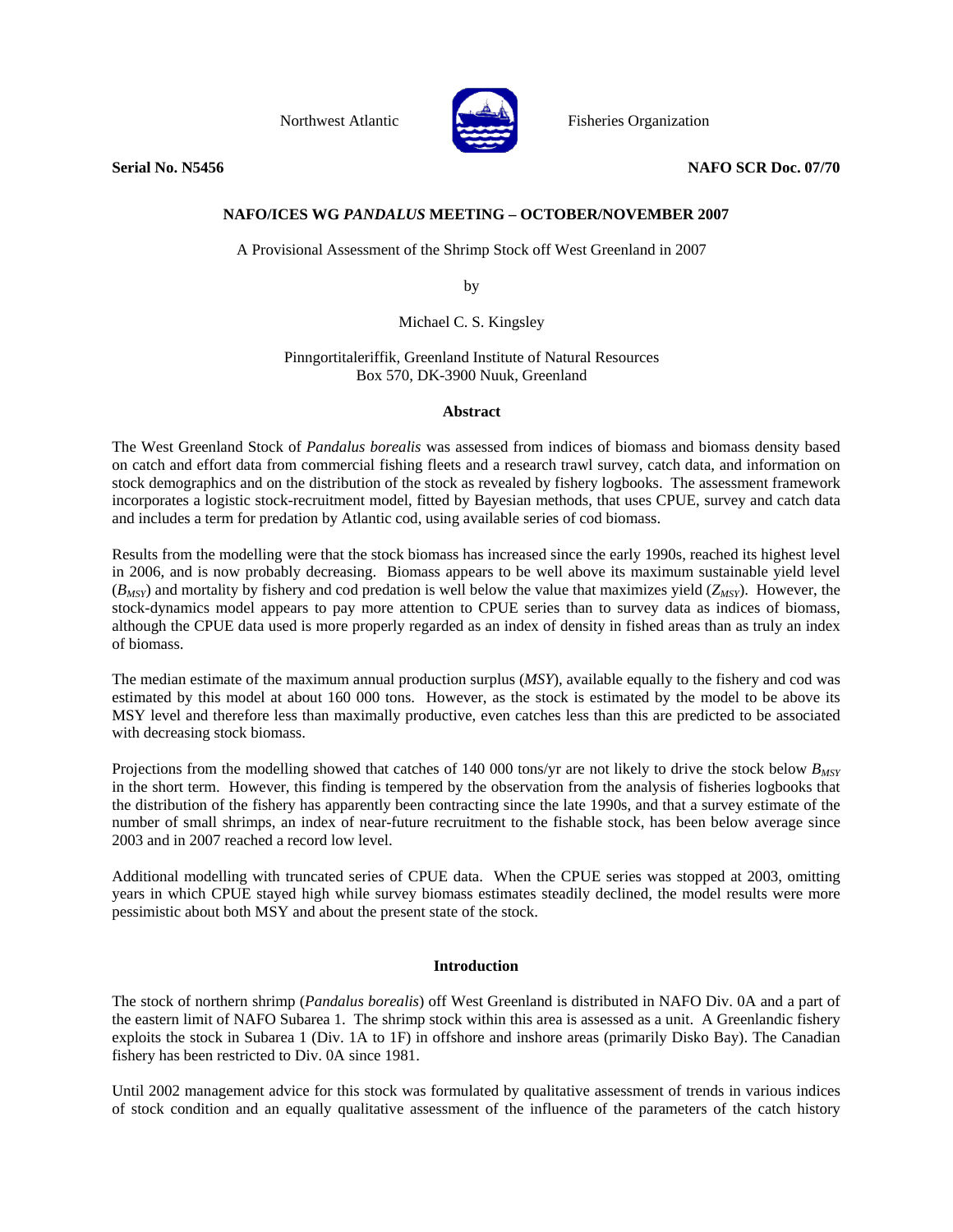

Northwest Atlantic Fisheries Organization

**Serial No. N5456 NAFO SCR Doc. 07/70 NAFO SCR Doc. 07/70** 

# **NAFO/ICES WG** *PANDALUS* **MEETING – OCTOBER/NOVEMBER 2007**

A Provisional Assessment of the Shrimp Stock off West Greenland in 2007

by

Michael C. S. Kingsley

Pinngortitaleriffik, Greenland Institute of Natural Resources Box 570, DK-3900 Nuuk, Greenland

## **Abstract**

The West Greenland Stock of *Pandalus borealis* was assessed from indices of biomass and biomass density based on catch and effort data from commercial fishing fleets and a research trawl survey, catch data, and information on stock demographics and on the distribution of the stock as revealed by fishery logbooks. The assessment framework incorporates a logistic stock-recruitment model, fitted by Bayesian methods, that uses CPUE, survey and catch data and includes a term for predation by Atlantic cod, using available series of cod biomass.

Results from the modelling were that the stock biomass has increased since the early 1990s, reached its highest level in 2006, and is now probably decreasing. Biomass appears to be well above its maximum sustainable yield level  $(B_{MSY})$  and mortality by fishery and cod predation is well below the value that maximizes yield  $(Z_{MSY})$ . However, the stock-dynamics model appears to pay more attention to CPUE series than to survey data as indices of biomass, although the CPUE data used is more properly regarded as an index of density in fished areas than as truly an index of biomass.

The median estimate of the maximum annual production surplus (*MSY*), available equally to the fishery and cod was estimated by this model at about 160 000 tons. However, as the stock is estimated by the model to be above its MSY level and therefore less than maximally productive, even catches less than this are predicted to be associated with decreasing stock biomass.

Projections from the modelling showed that catches of 140 000 tons/yr are not likely to drive the stock below  $B_{MSY}$ in the short term. However, this finding is tempered by the observation from the analysis of fisheries logbooks that the distribution of the fishery has apparently been contracting since the late 1990s, and that a survey estimate of the number of small shrimps, an index of near-future recruitment to the fishable stock, has been below average since 2003 and in 2007 reached a record low level.

Additional modelling with truncated series of CPUE data. When the CPUE series was stopped at 2003, omitting years in which CPUE stayed high while survey biomass estimates steadily declined, the model results were more pessimistic about both MSY and about the present state of the stock.

# **Introduction**

The stock of northern shrimp (*Pandalus borealis*) off West Greenland is distributed in NAFO Div. 0A and a part of the eastern limit of NAFO Subarea 1. The shrimp stock within this area is assessed as a unit. A Greenlandic fishery exploits the stock in Subarea 1 (Div. 1A to 1F) in offshore and inshore areas (primarily Disko Bay). The Canadian fishery has been restricted to Div. 0A since 1981.

Until 2002 management advice for this stock was formulated by qualitative assessment of trends in various indices of stock condition and an equally qualitative assessment of the influence of the parameters of the catch history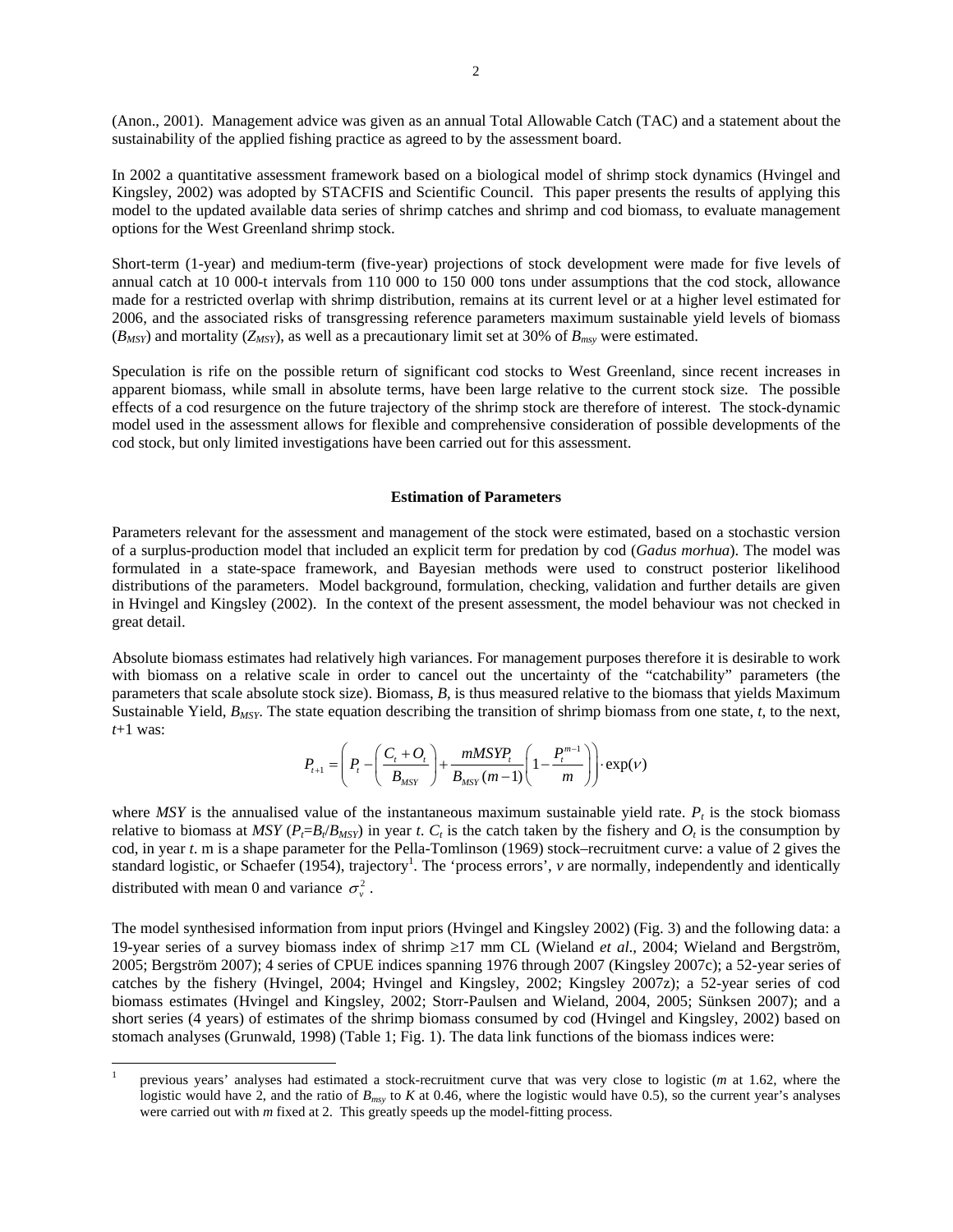(Anon., 2001). Management advice was given as an annual Total Allowable Catch (TAC) and a statement about the sustainability of the applied fishing practice as agreed to by the assessment board.

In 2002 a quantitative assessment framework based on a biological model of shrimp stock dynamics (Hvingel and Kingsley, 2002) was adopted by STACFIS and Scientific Council. This paper presents the results of applying this model to the updated available data series of shrimp catches and shrimp and cod biomass, to evaluate management options for the West Greenland shrimp stock.

Short-term (1-year) and medium-term (five-year) projections of stock development were made for five levels of annual catch at 10 000-t intervals from 110 000 to 150 000 tons under assumptions that the cod stock, allowance made for a restricted overlap with shrimp distribution, remains at its current level or at a higher level estimated for 2006, and the associated risks of transgressing reference parameters maximum sustainable yield levels of biomass  $(B_{MSY})$  and mortality ( $Z_{MSY}$ ), as well as a precautionary limit set at 30% of  $B_{msv}$  were estimated.

Speculation is rife on the possible return of significant cod stocks to West Greenland, since recent increases in apparent biomass, while small in absolute terms, have been large relative to the current stock size. The possible effects of a cod resurgence on the future trajectory of the shrimp stock are therefore of interest. The stock-dynamic model used in the assessment allows for flexible and comprehensive consideration of possible developments of the cod stock, but only limited investigations have been carried out for this assessment.

#### **Estimation of Parameters**

Parameters relevant for the assessment and management of the stock were estimated, based on a stochastic version of a surplus-production model that included an explicit term for predation by cod (*Gadus morhua*). The model was formulated in a state-space framework, and Bayesian methods were used to construct posterior likelihood distributions of the parameters. Model background, formulation, checking, validation and further details are given in Hvingel and Kingsley (2002). In the context of the present assessment, the model behaviour was not checked in great detail.

Absolute biomass estimates had relatively high variances. For management purposes therefore it is desirable to work with biomass on a relative scale in order to cancel out the uncertainty of the "catchability" parameters (the parameters that scale absolute stock size). Biomass, *B*, is thus measured relative to the biomass that yields Maximum Sustainable Yield, *BMSY*. The state equation describing the transition of shrimp biomass from one state, *t*, to the next, *t*+1 was:

$$
P_{t+1} = \left(P_t - \left(\frac{C_t + O_t}{B_{MST}}\right) + \frac{mMSYP_t}{B_{MST}(m-1)} \left(1 - \frac{P_t^{m-1}}{m}\right)\right) \cdot \exp(V)
$$

where  $MSY$  is the annualised value of the instantaneous maximum sustainable yield rate.  $P_t$  is the stock biomass relative to biomass at *MSY* ( $P_f = B_f / B_{MST}$ ) in year *t*.  $C_t$  is the catch taken by the fishery and  $O_t$  is the consumption by cod, in year *t*. m is a shape parameter for the Pella-Tomlinson (1969) stock–recruitment curve: a value of 2 gives the standard logistic, or Schaefer (1954), trajectory<sup>1</sup>. The 'process errors', *v* are normally, independently and identically distributed with mean 0 and variance  $\sigma_v^2$ .

The model synthesised information from input priors (Hvingel and Kingsley 2002) (Fig. 3) and the following data: a 19-year series of a survey biomass index of shrimp ≥17 mm CL (Wieland *et al*., 2004; Wieland and Bergström, 2005; Bergström 2007); 4 series of CPUE indices spanning 1976 through 2007 (Kingsley 2007c); a 52-year series of catches by the fishery (Hvingel, 2004; Hvingel and Kingsley, 2002; Kingsley 2007z); a 52-year series of cod biomass estimates (Hvingel and Kingsley, 2002; Storr-Paulsen and Wieland, 2004, 2005; Sünksen 2007); and a short series (4 years) of estimates of the shrimp biomass consumed by cod (Hvingel and Kingsley, 2002) based on stomach analyses (Grunwald, 1998) (Table 1; Fig. 1). The data link functions of the biomass indices were:

 $\overline{a}$ 

<sup>1</sup> previous years' analyses had estimated a stock-recruitment curve that was very close to logistic (*m* at 1.62, where the logistic would have 2, and the ratio of  $B_{msy}$  to *K* at 0.46, where the logistic would have 0.5), so the current year's analyses were carried out with *m* fixed at 2. This greatly speeds up the model-fitting process.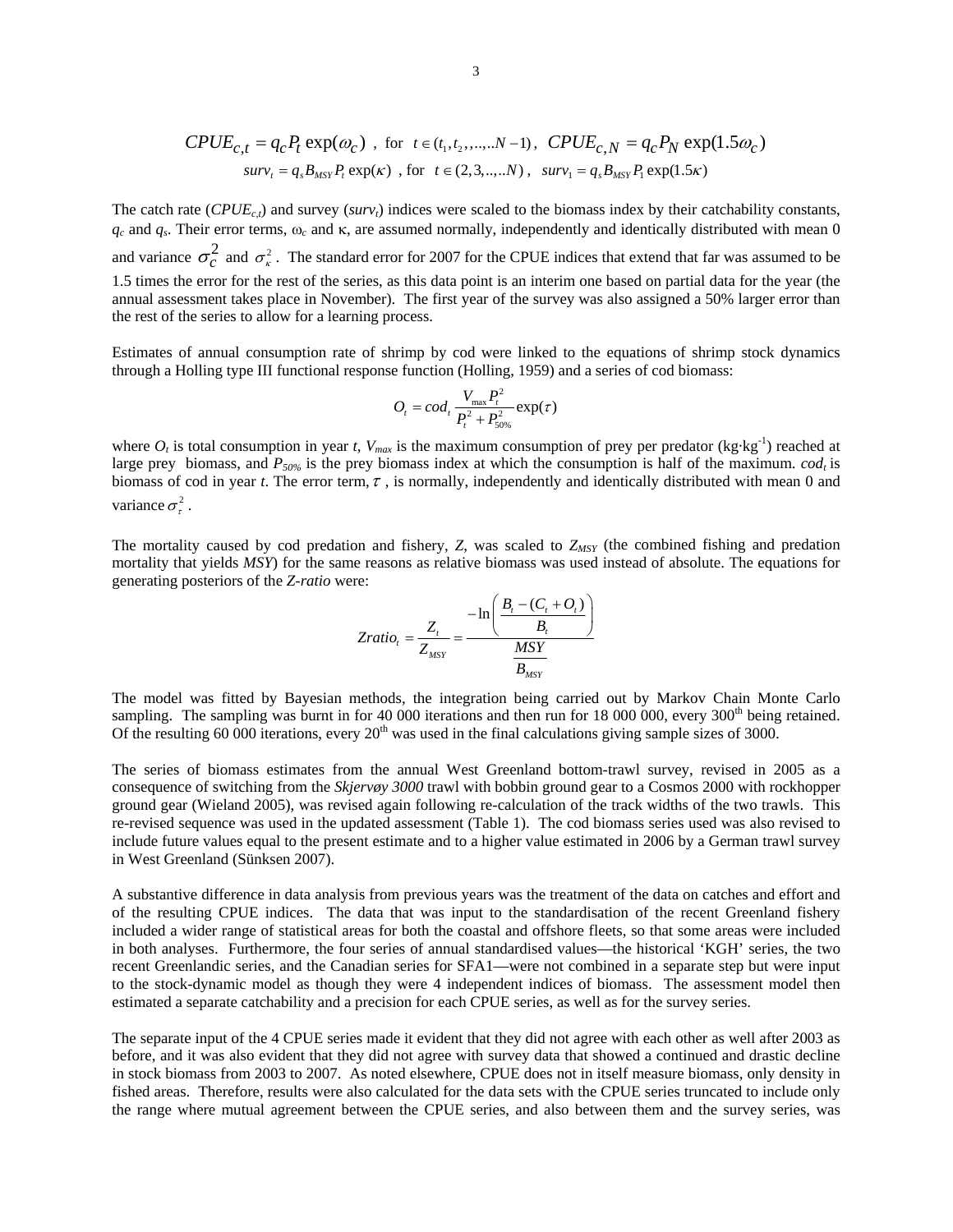$$
CPUE_{c,t} = q_c P_t \exp(\omega_c) \text{ , for } t \in (t_1, t_2, \dots, N-1), \text{ } CPUE_{c,N} = q_c P_N \exp(1.5\omega_c)
$$
  

$$
surv_t = q_s B_{MST} P_t \exp(\kappa) \text{ , for } t \in (2, 3, \dots, N), \text{ } surv_1 = q_s B_{MST} P_t \exp(1.5\kappa)
$$

The catch rate  $(CPUE_{c,t})$  and survey (*surv<sub>t</sub>*) indices were scaled to the biomass index by their catchability constants, *qc* and *qs*. Their error terms, ω*c* and κ, are assumed normally, independently and identically distributed with mean 0 and variance  $\sigma_c^2$  and  $\sigma_{\kappa}^2$ . The standard error for 2007 for the CPUE indices that extend that far was assumed to be 1.5 times the error for the rest of the series, as this data point is an interim one based on partial data for the year (the annual assessment takes place in November). The first year of the survey was also assigned a 50% larger error than the rest of the series to allow for a learning process.

Estimates of annual consumption rate of shrimp by cod were linked to the equations of shrimp stock dynamics through a Holling type III functional response function (Holling, 1959) and a series of cod biomass:

$$
O_t = cod_t \frac{V_{\text{max}} P_t^2}{P_t^2 + P_{50\%}^2} \exp(\tau)
$$

where  $O_t$  is total consumption in year *t*,  $V_{max}$  is the maximum consumption of prey per predator (kg·kg<sup>-1</sup>) reached at large prey biomass, and  $P_{50\%}$  is the prey biomass index at which the consumption is half of the maximum. *cod<sub>t</sub>* is biomass of cod in year *t*. The error term,  $\tau$ , is normally, independently and identically distributed with mean 0 and variance  $\sigma^2$ .

The mortality caused by cod predation and fishery, *Z*, was scaled to *Z<sub>MSY</sub>* (the combined fishing and predation mortality that yields *MSY*) for the same reasons as relative biomass was used instead of absolute. The equations for generating posteriors of the *Z-ratio* were:

$$
Zratio_{t} = \frac{Z_{t}}{Z_{MSY}} = \frac{-\ln\left(\frac{B_{t} - (C_{t} + O_{t})}{B_{t}}\right)}{\frac{MSY}{B_{MSY}}}
$$

The model was fitted by Bayesian methods, the integration being carried out by Markov Chain Monte Carlo sampling. The sampling was burnt in for 40 000 iterations and then run for 18 000 000, every 300<sup>th</sup> being retained. Of the resulting  $60\,000$  iterations, every  $20<sup>th</sup>$  was used in the final calculations giving sample sizes of 3000.

The series of biomass estimates from the annual West Greenland bottom-trawl survey, revised in 2005 as a consequence of switching from the *Skjervøy 3000* trawl with bobbin ground gear to a Cosmos 2000 with rockhopper ground gear (Wieland 2005), was revised again following re-calculation of the track widths of the two trawls. This re-revised sequence was used in the updated assessment (Table 1). The cod biomass series used was also revised to include future values equal to the present estimate and to a higher value estimated in 2006 by a German trawl survey in West Greenland (Sünksen 2007).

A substantive difference in data analysis from previous years was the treatment of the data on catches and effort and of the resulting CPUE indices. The data that was input to the standardisation of the recent Greenland fishery included a wider range of statistical areas for both the coastal and offshore fleets, so that some areas were included in both analyses. Furthermore, the four series of annual standardised values—the historical 'KGH' series, the two recent Greenlandic series, and the Canadian series for SFA1—were not combined in a separate step but were input to the stock-dynamic model as though they were 4 independent indices of biomass. The assessment model then estimated a separate catchability and a precision for each CPUE series, as well as for the survey series.

The separate input of the 4 CPUE series made it evident that they did not agree with each other as well after 2003 as before, and it was also evident that they did not agree with survey data that showed a continued and drastic decline in stock biomass from 2003 to 2007. As noted elsewhere, CPUE does not in itself measure biomass, only density in fished areas. Therefore, results were also calculated for the data sets with the CPUE series truncated to include only the range where mutual agreement between the CPUE series, and also between them and the survey series, was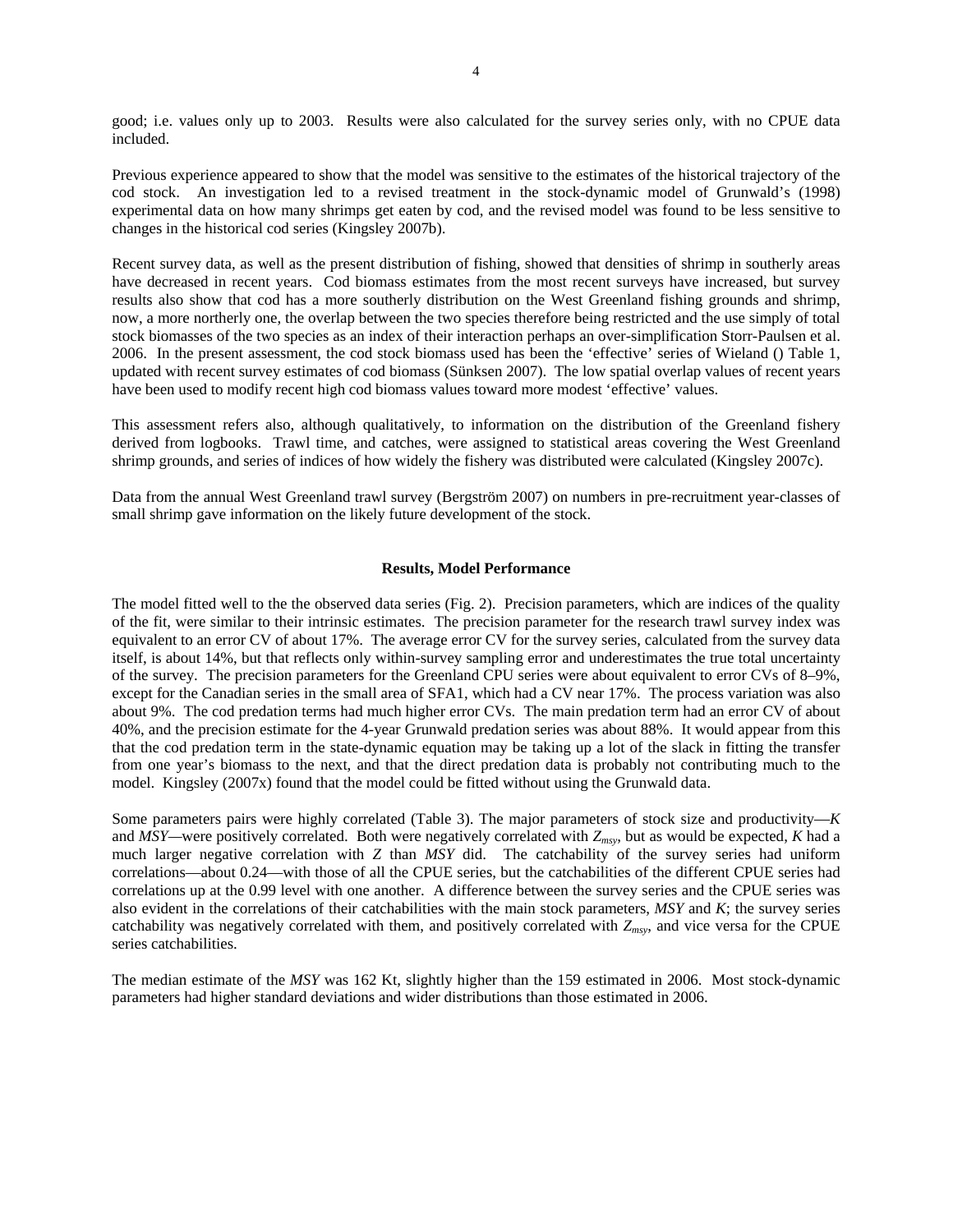good; i.e. values only up to 2003. Results were also calculated for the survey series only, with no CPUE data included.

Previous experience appeared to show that the model was sensitive to the estimates of the historical trajectory of the cod stock. An investigation led to a revised treatment in the stock-dynamic model of Grunwald's (1998) experimental data on how many shrimps get eaten by cod, and the revised model was found to be less sensitive to changes in the historical cod series (Kingsley 2007b).

Recent survey data, as well as the present distribution of fishing, showed that densities of shrimp in southerly areas have decreased in recent years. Cod biomass estimates from the most recent surveys have increased, but survey results also show that cod has a more southerly distribution on the West Greenland fishing grounds and shrimp, now, a more northerly one, the overlap between the two species therefore being restricted and the use simply of total stock biomasses of the two species as an index of their interaction perhaps an over-simplification Storr-Paulsen et al. 2006. In the present assessment, the cod stock biomass used has been the 'effective' series of Wieland () Table 1, updated with recent survey estimates of cod biomass (Sünksen 2007). The low spatial overlap values of recent years have been used to modify recent high cod biomass values toward more modest 'effective' values.

This assessment refers also, although qualitatively, to information on the distribution of the Greenland fishery derived from logbooks. Trawl time, and catches, were assigned to statistical areas covering the West Greenland shrimp grounds, and series of indices of how widely the fishery was distributed were calculated (Kingsley 2007c).

Data from the annual West Greenland trawl survey (Bergström 2007) on numbers in pre-recruitment year-classes of small shrimp gave information on the likely future development of the stock.

#### **Results, Model Performance**

The model fitted well to the the observed data series (Fig. 2). Precision parameters, which are indices of the quality of the fit, were similar to their intrinsic estimates. The precision parameter for the research trawl survey index was equivalent to an error CV of about 17%. The average error CV for the survey series, calculated from the survey data itself, is about 14%, but that reflects only within-survey sampling error and underestimates the true total uncertainty of the survey. The precision parameters for the Greenland CPU series were about equivalent to error CVs of 8–9%, except for the Canadian series in the small area of SFA1, which had a CV near 17%. The process variation was also about 9%. The cod predation terms had much higher error CVs. The main predation term had an error CV of about 40%, and the precision estimate for the 4-year Grunwald predation series was about 88%. It would appear from this that the cod predation term in the state-dynamic equation may be taking up a lot of the slack in fitting the transfer from one year's biomass to the next, and that the direct predation data is probably not contributing much to the model. Kingsley (2007x) found that the model could be fitted without using the Grunwald data.

Some parameters pairs were highly correlated (Table 3). The major parameters of stock size and productivity—*K*  and *MSY—*were positively correlated. Both were negatively correlated with *Zmsy*, but as would be expected, *K* had a much larger negative correlation with *Z* than *MSY* did. The catchability of the survey series had uniform correlations—about 0.24—with those of all the CPUE series, but the catchabilities of the different CPUE series had correlations up at the 0.99 level with one another. A difference between the survey series and the CPUE series was also evident in the correlations of their catchabilities with the main stock parameters, *MSY* and *K*; the survey series catchability was negatively correlated with them, and positively correlated with *Zmsy*, and vice versa for the CPUE series catchabilities.

The median estimate of the *MSY* was 162 Kt, slightly higher than the 159 estimated in 2006. Most stock-dynamic parameters had higher standard deviations and wider distributions than those estimated in 2006.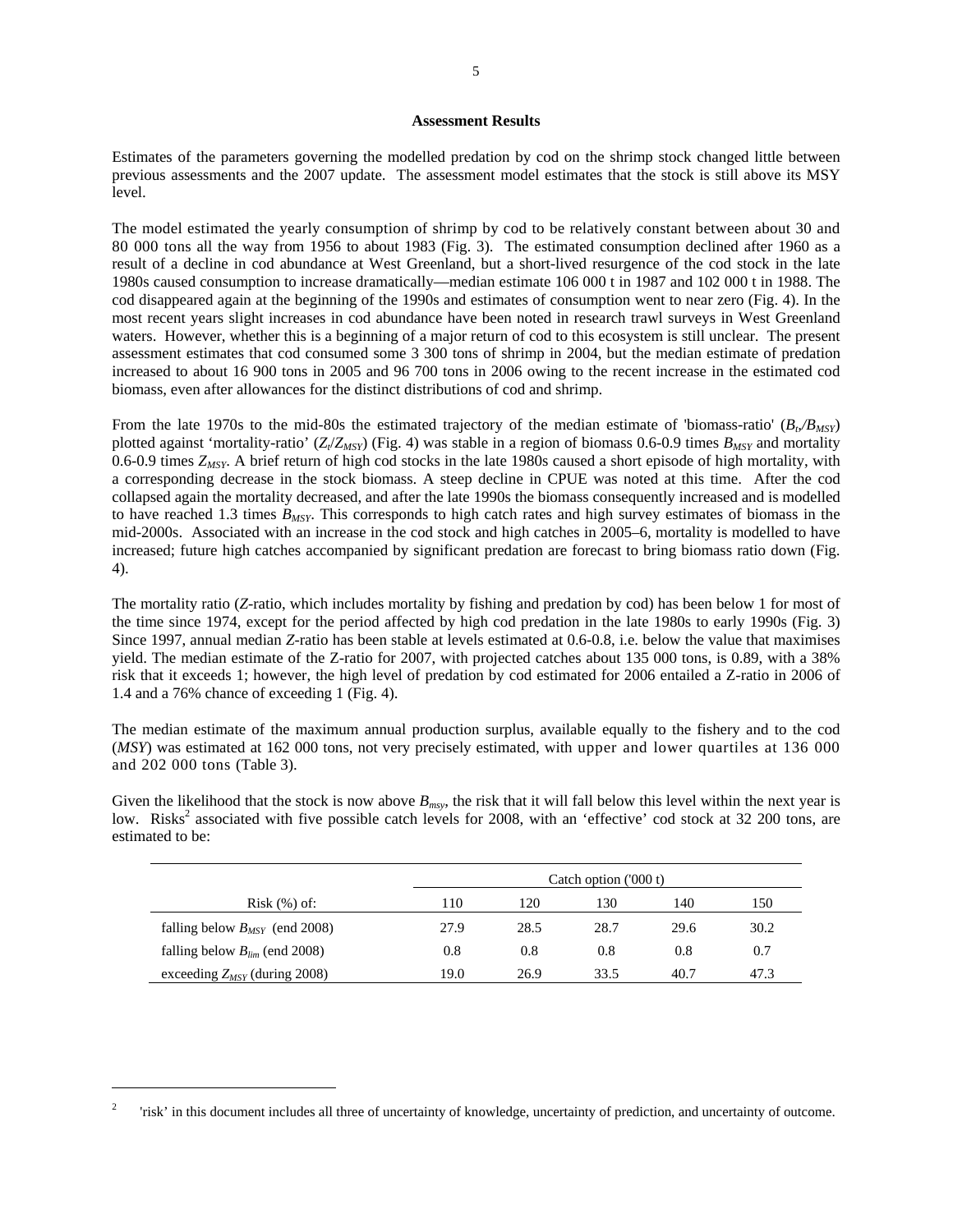#### **Assessment Results**

Estimates of the parameters governing the modelled predation by cod on the shrimp stock changed little between previous assessments and the 2007 update. The assessment model estimates that the stock is still above its MSY level.

The model estimated the yearly consumption of shrimp by cod to be relatively constant between about 30 and 80 000 tons all the way from 1956 to about 1983 (Fig. 3). The estimated consumption declined after 1960 as a result of a decline in cod abundance at West Greenland, but a short-lived resurgence of the cod stock in the late 1980s caused consumption to increase dramatically—median estimate 106 000 t in 1987 and 102 000 t in 1988. The cod disappeared again at the beginning of the 1990s and estimates of consumption went to near zero (Fig. 4). In the most recent years slight increases in cod abundance have been noted in research trawl surveys in West Greenland waters. However, whether this is a beginning of a major return of cod to this ecosystem is still unclear. The present assessment estimates that cod consumed some 3 300 tons of shrimp in 2004, but the median estimate of predation increased to about 16 900 tons in 2005 and 96 700 tons in 2006 owing to the recent increase in the estimated cod biomass, even after allowances for the distinct distributions of cod and shrimp.

From the late 1970s to the mid-80s the estimated trajectory of the median estimate of 'biomass-ratio'  $(B_\nu/B_{MST})$ plotted against 'mortality-ratio'  $(Z/Z_{MSY})$  (Fig. 4) was stable in a region of biomass 0.6-0.9 times  $B_{MSY}$  and mortality 0.6-0.9 times *ZMSY*. A brief return of high cod stocks in the late 1980s caused a short episode of high mortality, with a corresponding decrease in the stock biomass. A steep decline in CPUE was noted at this time. After the cod collapsed again the mortality decreased, and after the late 1990s the biomass consequently increased and is modelled to have reached 1.3 times *BMSY*. This corresponds to high catch rates and high survey estimates of biomass in the mid-2000s. Associated with an increase in the cod stock and high catches in 2005–6, mortality is modelled to have increased; future high catches accompanied by significant predation are forecast to bring biomass ratio down (Fig. 4).

The mortality ratio (*Z*-ratio, which includes mortality by fishing and predation by cod) has been below 1 for most of the time since 1974, except for the period affected by high cod predation in the late 1980s to early 1990s (Fig. 3) Since 1997, annual median *Z*-ratio has been stable at levels estimated at 0.6-0.8, i.e. below the value that maximises yield. The median estimate of the Z-ratio for 2007, with projected catches about 135 000 tons, is 0.89, with a 38% risk that it exceeds 1; however, the high level of predation by cod estimated for 2006 entailed a Z-ratio in 2006 of 1.4 and a 76% chance of exceeding 1 (Fig. 4).

The median estimate of the maximum annual production surplus, available equally to the fishery and to the cod (*MSY*) was estimated at 162 000 tons, not very precisely estimated, with upper and lower quartiles at 136 000 and 202 000 tons (Table 3).

Given the likelihood that the stock is now above  $B_{msy}$ , the risk that it will fall below this level within the next year is low. Risks<sup>2</sup> associated with five possible catch levels for 2008, with an 'effective' cod stock at 32 200 tons, are estimated to be:

|                                    |      |      | Catch option ('000 t) |      |      |
|------------------------------------|------|------|-----------------------|------|------|
| $Risk$ $(\%)$ of:                  | 110  | 120  | 130                   | 140  | 150  |
| falling below $B_{MSY}$ (end 2008) | 27.9 | 28.5 | 28.7                  | 29.6 | 30.2 |
| falling below $B_{lim}$ (end 2008) | 0.8  | 0.8  | 0.8                   | 0.8  | 0.7  |
| exceeding $Z_{MSY}$ (during 2008)  | 19.0 | 26.9 | 33.5                  | 40.7 | 47.3 |

<sup>2</sup> 'risk' in this document includes all three of uncertainty of knowledge, uncertainty of prediction, and uncertainty of outcome.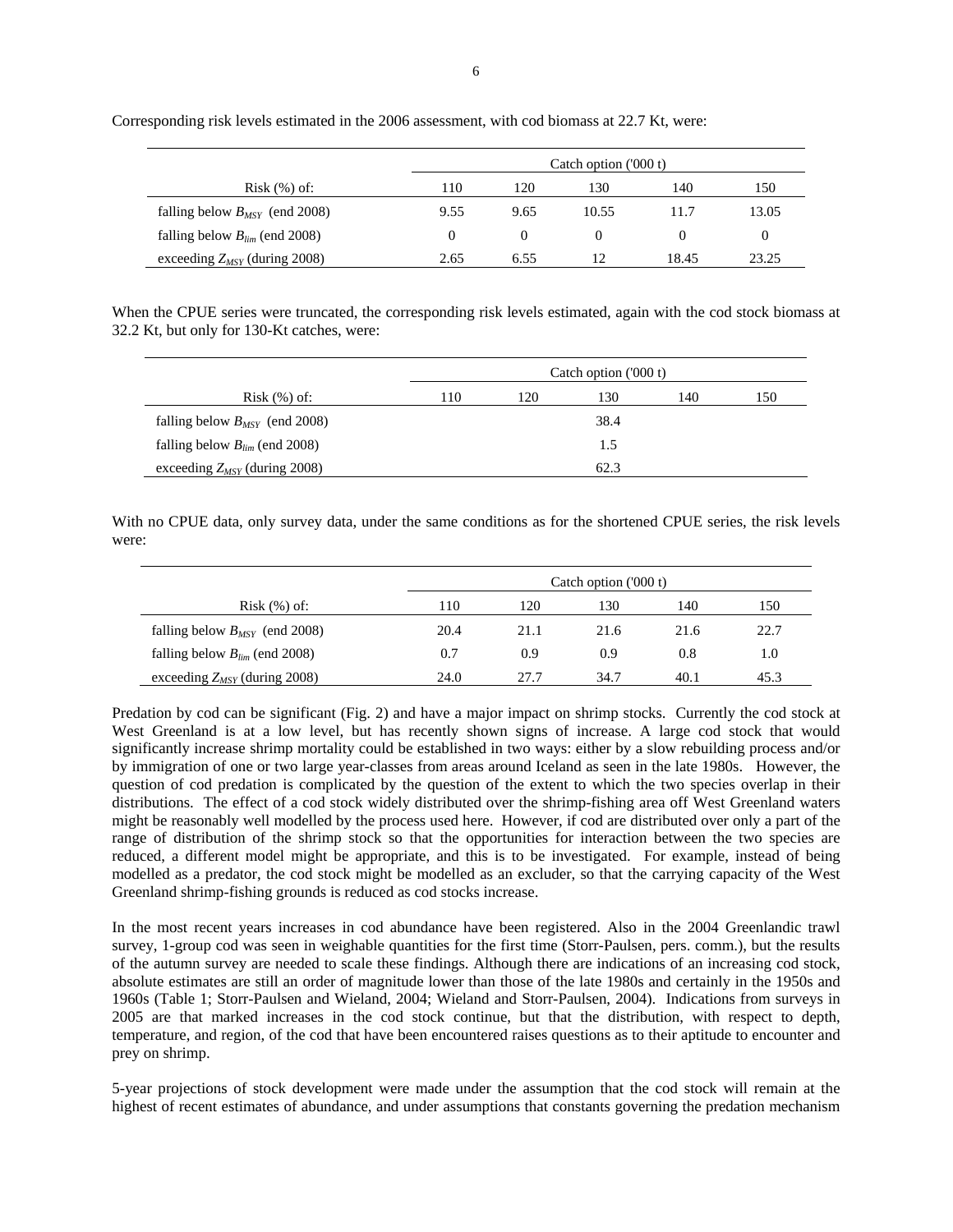exceeding *Z<sub>MSY</sub>* (during 2008) 2.65 6.55 12 18.45 23.25

Corresponding risk levels estimated in the 2006 assessment, with cod biomass at 22.7 Kt, were:

When the CPUE series were truncated, the corresponding risk levels estimated, again with the cod stock biomass at 32.2 Kt, but only for 130-Kt catches, were:

|                                    |     |     | Catch option ('000 t) |     |     |
|------------------------------------|-----|-----|-----------------------|-----|-----|
| $Risk$ $(\%)$ of:                  | 110 | 120 | 130                   | 140 | 150 |
| falling below $B_{MSY}$ (end 2008) |     |     | 38.4                  |     |     |
| falling below $B_{lim}$ (end 2008) |     |     | 1.5                   |     |     |
| exceeding $Z_{MSY}$ (during 2008)  |     |     | 62.3                  |     |     |

With no CPUE data, only survey data, under the same conditions as for the shortened CPUE series, the risk levels were:

|                                    | Catch option $(000 t)$ |      |      |      |      |
|------------------------------------|------------------------|------|------|------|------|
| $Risk$ $(\%)$ of:                  | 110                    | 120  | 130  | 140  | 150  |
| falling below $B_{MSY}$ (end 2008) | 20.4                   | 21.1 | 21.6 | 21.6 | 22.7 |
| falling below $B_{lim}$ (end 2008) | 0.7                    | 0.9  | 0.9  | 0.8  | 1.0  |
| exceeding $Z_{MSY}$ (during 2008)  | 24.0                   | 27.7 | 34.7 | 40.1 | 45.3 |

Predation by cod can be significant (Fig. 2) and have a major impact on shrimp stocks. Currently the cod stock at West Greenland is at a low level, but has recently shown signs of increase. A large cod stock that would significantly increase shrimp mortality could be established in two ways: either by a slow rebuilding process and/or by immigration of one or two large year-classes from areas around Iceland as seen in the late 1980s. However, the question of cod predation is complicated by the question of the extent to which the two species overlap in their distributions. The effect of a cod stock widely distributed over the shrimp-fishing area off West Greenland waters might be reasonably well modelled by the process used here. However, if cod are distributed over only a part of the range of distribution of the shrimp stock so that the opportunities for interaction between the two species are reduced, a different model might be appropriate, and this is to be investigated. For example, instead of being modelled as a predator, the cod stock might be modelled as an excluder, so that the carrying capacity of the West Greenland shrimp-fishing grounds is reduced as cod stocks increase.

In the most recent years increases in cod abundance have been registered. Also in the 2004 Greenlandic trawl survey, 1-group cod was seen in weighable quantities for the first time (Storr-Paulsen, pers. comm.), but the results of the autumn survey are needed to scale these findings. Although there are indications of an increasing cod stock, absolute estimates are still an order of magnitude lower than those of the late 1980s and certainly in the 1950s and 1960s (Table 1; Storr-Paulsen and Wieland, 2004; Wieland and Storr-Paulsen, 2004). Indications from surveys in 2005 are that marked increases in the cod stock continue, but that the distribution, with respect to depth, temperature, and region, of the cod that have been encountered raises questions as to their aptitude to encounter and prey on shrimp.

5-year projections of stock development were made under the assumption that the cod stock will remain at the highest of recent estimates of abundance, and under assumptions that constants governing the predation mechanism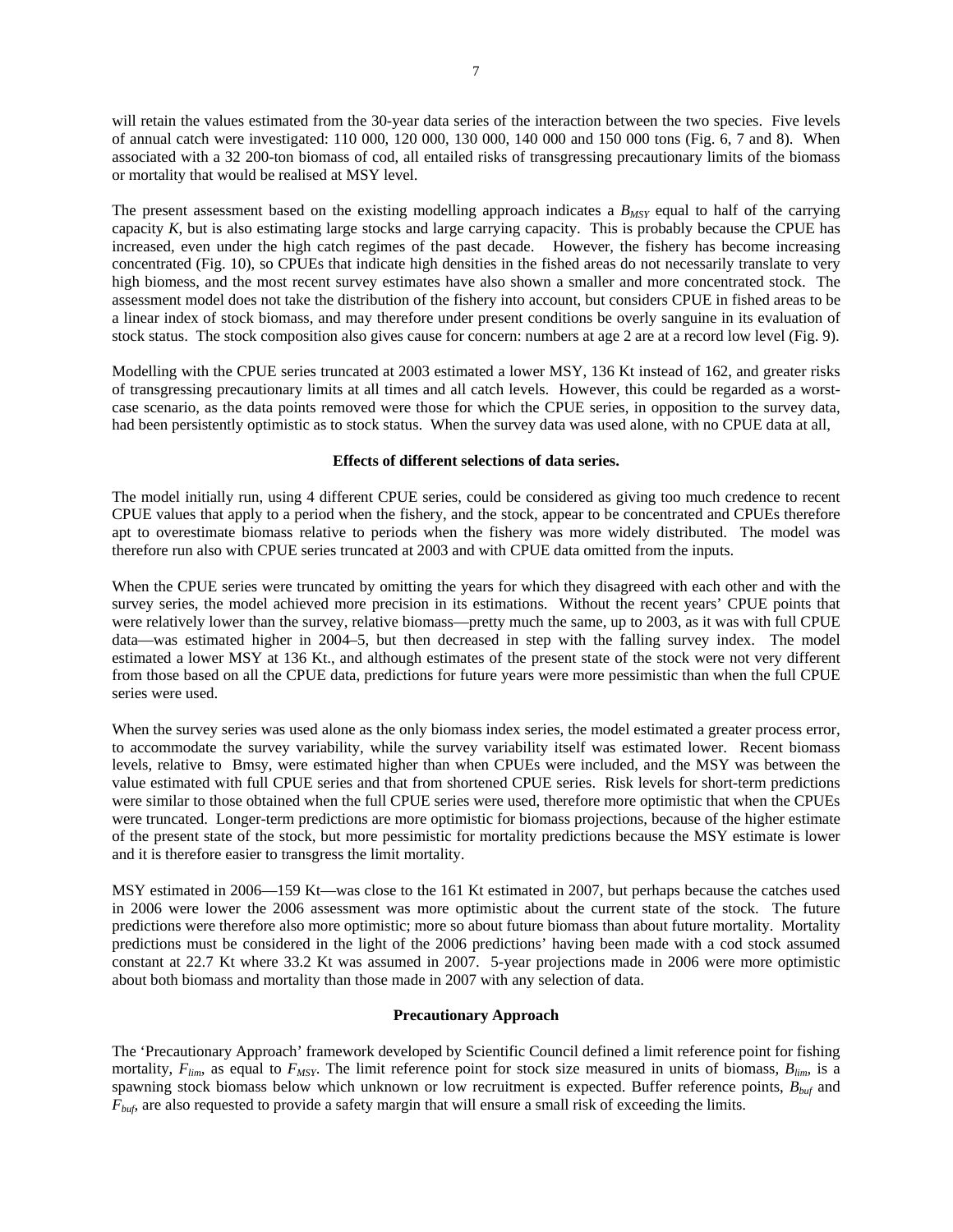will retain the values estimated from the 30-year data series of the interaction between the two species. Five levels of annual catch were investigated: 110 000, 120 000, 130 000, 140 000 and 150 000 tons (Fig. 6, 7 and 8). When associated with a 32 200-ton biomass of cod, all entailed risks of transgressing precautionary limits of the biomass or mortality that would be realised at MSY level.

The present assessment based on the existing modelling approach indicates a  $B_{MSY}$  equal to half of the carrying capacity *K*, but is also estimating large stocks and large carrying capacity. This is probably because the CPUE has increased, even under the high catch regimes of the past decade. However, the fishery has become increasing concentrated (Fig. 10), so CPUEs that indicate high densities in the fished areas do not necessarily translate to very high biomess, and the most recent survey estimates have also shown a smaller and more concentrated stock. The assessment model does not take the distribution of the fishery into account, but considers CPUE in fished areas to be a linear index of stock biomass, and may therefore under present conditions be overly sanguine in its evaluation of stock status. The stock composition also gives cause for concern: numbers at age 2 are at a record low level (Fig. 9).

Modelling with the CPUE series truncated at 2003 estimated a lower MSY, 136 Kt instead of 162, and greater risks of transgressing precautionary limits at all times and all catch levels. However, this could be regarded as a worstcase scenario, as the data points removed were those for which the CPUE series, in opposition to the survey data, had been persistently optimistic as to stock status. When the survey data was used alone, with no CPUE data at all,

## **Effects of different selections of data series.**

The model initially run, using 4 different CPUE series, could be considered as giving too much credence to recent CPUE values that apply to a period when the fishery, and the stock, appear to be concentrated and CPUEs therefore apt to overestimate biomass relative to periods when the fishery was more widely distributed. The model was therefore run also with CPUE series truncated at 2003 and with CPUE data omitted from the inputs.

When the CPUE series were truncated by omitting the years for which they disagreed with each other and with the survey series, the model achieved more precision in its estimations. Without the recent years' CPUE points that were relatively lower than the survey, relative biomass—pretty much the same, up to 2003, as it was with full CPUE data—was estimated higher in 2004–5, but then decreased in step with the falling survey index. The model estimated a lower MSY at 136 Kt., and although estimates of the present state of the stock were not very different from those based on all the CPUE data, predictions for future years were more pessimistic than when the full CPUE series were used.

When the survey series was used alone as the only biomass index series, the model estimated a greater process error, to accommodate the survey variability, while the survey variability itself was estimated lower. Recent biomass levels, relative to Bmsy, were estimated higher than when CPUEs were included, and the MSY was between the value estimated with full CPUE series and that from shortened CPUE series. Risk levels for short-term predictions were similar to those obtained when the full CPUE series were used, therefore more optimistic that when the CPUEs were truncated. Longer-term predictions are more optimistic for biomass projections, because of the higher estimate of the present state of the stock, but more pessimistic for mortality predictions because the MSY estimate is lower and it is therefore easier to transgress the limit mortality.

MSY estimated in 2006—159 Kt—was close to the 161 Kt estimated in 2007, but perhaps because the catches used in 2006 were lower the 2006 assessment was more optimistic about the current state of the stock. The future predictions were therefore also more optimistic; more so about future biomass than about future mortality. Mortality predictions must be considered in the light of the 2006 predictions' having been made with a cod stock assumed constant at 22.7 Kt where 33.2 Kt was assumed in 2007. 5-year projections made in 2006 were more optimistic about both biomass and mortality than those made in 2007 with any selection of data.

## **Precautionary Approach**

The 'Precautionary Approach' framework developed by Scientific Council defined a limit reference point for fishing mortality,  $F_{lim}$ , as equal to  $F_{MSY}$ . The limit reference point for stock size measured in units of biomass,  $B_{lim}$ , is a spawning stock biomass below which unknown or low recruitment is expected. Buffer reference points, *Bbuf* and *F<sub>buf</sub>*, are also requested to provide a safety margin that will ensure a small risk of exceeding the limits.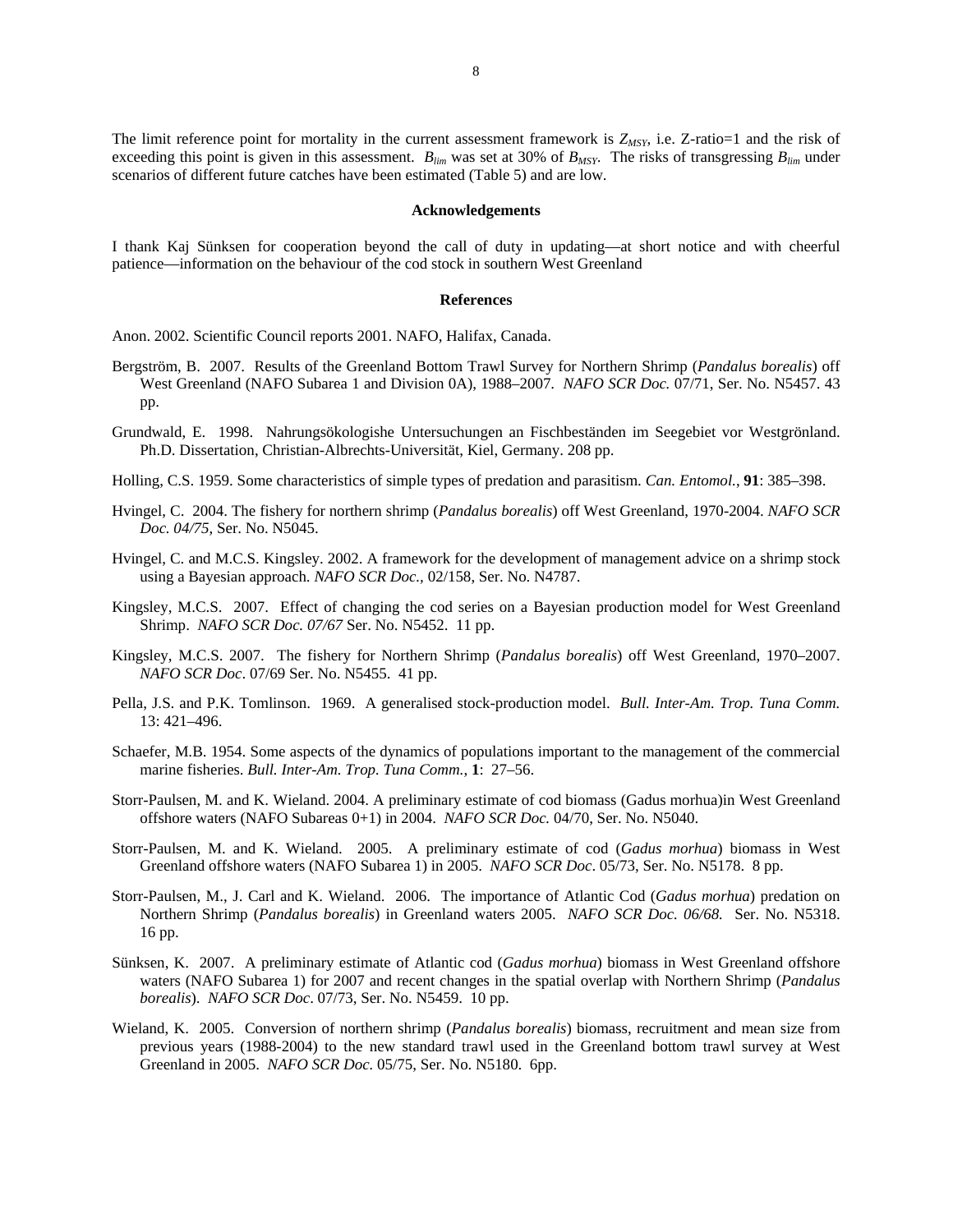The limit reference point for mortality in the current assessment framework is  $Z_{MSY}$ , i.e. Z-ratio=1 and the risk of exceeding this point is given in this assessment.  $B_{lim}$  was set at 30% of  $B_{MSY}$ . The risks of transgressing  $B_{lim}$  under scenarios of different future catches have been estimated (Table 5) and are low.

#### **Acknowledgements**

I thank Kaj Sünksen for cooperation beyond the call of duty in updating—at short notice and with cheerful patience—information on the behaviour of the cod stock in southern West Greenland

#### **References**

Anon. 2002. Scientific Council reports 2001. NAFO, Halifax, Canada.

- Bergström, B. 2007. Results of the Greenland Bottom Trawl Survey for Northern Shrimp (*Pandalus borealis*) off West Greenland (NAFO Subarea 1 and Division 0A), 1988–2007. *NAFO SCR Doc.* 07/71, Ser. No. N5457. 43 pp.
- Grundwald, E. 1998. Nahrungsökologishe Untersuchungen an Fischbeständen im Seegebiet vor Westgrönland. Ph.D. Dissertation, Christian-Albrechts-Universität, Kiel, Germany. 208 pp.
- Holling, C.S. 1959. Some characteristics of simple types of predation and parasitism. *Can. Entomol.*, **91**: 385–398.
- Hvingel, C. 2004. The fishery for northern shrimp (*Pandalus borealis*) off West Greenland, 1970-2004. *NAFO SCR Doc. 04/75*, Ser. No. N5045.
- Hvingel, C. and M.C.S. Kingsley. 2002. A framework for the development of management advice on a shrimp stock using a Bayesian approach. *NAFO SCR Doc.,* 02/158, Ser. No. N4787.
- Kingsley, M.C.S. 2007. Effect of changing the cod series on a Bayesian production model for West Greenland Shrimp. *NAFO SCR Doc. 07/67* Ser. No. N5452. 11 pp.
- Kingsley, M.C.S. 2007. The fishery for Northern Shrimp (*Pandalus borealis*) off West Greenland, 1970–2007. *NAFO SCR Doc*. 07/69 Ser. No. N5455. 41 pp.
- Pella, J.S. and P.K. Tomlinson. 1969. A generalised stock-production model. *Bull. Inter-Am. Trop. Tuna Comm.*  13: 421–496.
- Schaefer, M.B. 1954. Some aspects of the dynamics of populations important to the management of the commercial marine fisheries. *Bull. Inter-Am. Trop. Tuna Comm.*, **1**: 27–56.
- Storr-Paulsen, M. and K. Wieland. 2004. A preliminary estimate of cod biomass (Gadus morhua)in West Greenland offshore waters (NAFO Subareas 0+1) in 2004. *NAFO SCR Doc.* 04/70, Ser. No. N5040.
- Storr-Paulsen, M. and K. Wieland. 2005. A preliminary estimate of cod (*Gadus morhua*) biomass in West Greenland offshore waters (NAFO Subarea 1) in 2005. *NAFO SCR Doc*. 05/73, Ser. No. N5178. 8 pp.
- Storr-Paulsen, M., J. Carl and K. Wieland. 2006. The importance of Atlantic Cod (*Gadus morhua*) predation on Northern Shrimp (*Pandalus borealis*) in Greenland waters 2005. *NAFO SCR Doc. 06/68.* Ser. No. N5318. 16 pp.
- Sünksen, K. 2007. A preliminary estimate of Atlantic cod (*Gadus morhua*) biomass in West Greenland offshore waters (NAFO Subarea 1) for 2007 and recent changes in the spatial overlap with Northern Shrimp (*Pandalus borealis*). *NAFO SCR Doc*. 07/73, Ser. No. N5459. 10 pp.
- Wieland, K. 2005. Conversion of northern shrimp (*Pandalus borealis*) biomass, recruitment and mean size from previous years (1988-2004) to the new standard trawl used in the Greenland bottom trawl survey at West Greenland in 2005. *NAFO SCR Doc.* 05/75, Ser. No. N5180. 6pp.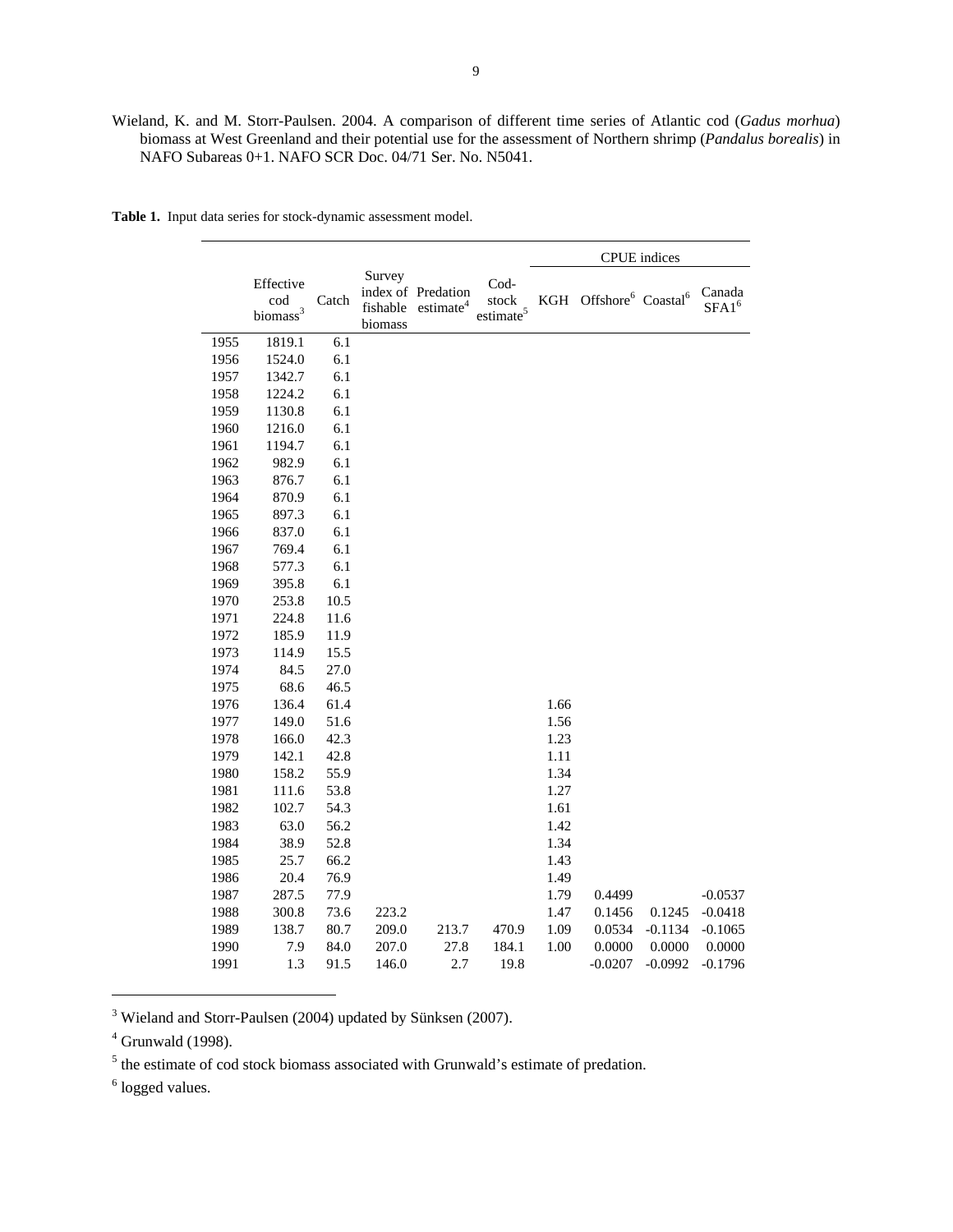Wieland, K. and M. Storr-Paulsen. 2004. A comparison of different time series of Atlantic cod (*Gadus morhua*) biomass at West Greenland and their potential use for the assessment of Northern shrimp (*Pandalus borealis*) in NAFO Subareas 0+1. NAFO SCR Doc. 04/71 Ser. No. N5041.

|      |                                          |       |                               |                                             |                                   |      |                                            | <b>CPUE</b> indices |                    |
|------|------------------------------------------|-------|-------------------------------|---------------------------------------------|-----------------------------------|------|--------------------------------------------|---------------------|--------------------|
|      | Effective<br>cod<br>biomass <sup>3</sup> | Catch | Survey<br>fishable<br>biomass | index of Predation<br>estimate <sup>4</sup> | Cod-<br>stock<br>$\rm estimate^5$ | KGH  | Offshore <sup>6</sup> Coastal <sup>6</sup> |                     | Canada<br>$SFA1^6$ |
| 1955 | 1819.1                                   | 6.1   |                               |                                             |                                   |      |                                            |                     |                    |
| 1956 | 1524.0                                   | 6.1   |                               |                                             |                                   |      |                                            |                     |                    |
| 1957 | 1342.7                                   | 6.1   |                               |                                             |                                   |      |                                            |                     |                    |
| 1958 | 1224.2                                   | 6.1   |                               |                                             |                                   |      |                                            |                     |                    |
| 1959 | 1130.8                                   | 6.1   |                               |                                             |                                   |      |                                            |                     |                    |
| 1960 | 1216.0                                   | 6.1   |                               |                                             |                                   |      |                                            |                     |                    |
| 1961 | 1194.7                                   | 6.1   |                               |                                             |                                   |      |                                            |                     |                    |
| 1962 | 982.9                                    | 6.1   |                               |                                             |                                   |      |                                            |                     |                    |
| 1963 | 876.7                                    | 6.1   |                               |                                             |                                   |      |                                            |                     |                    |
| 1964 | 870.9                                    | 6.1   |                               |                                             |                                   |      |                                            |                     |                    |
| 1965 | 897.3                                    | 6.1   |                               |                                             |                                   |      |                                            |                     |                    |
| 1966 | 837.0                                    | 6.1   |                               |                                             |                                   |      |                                            |                     |                    |
| 1967 | 769.4                                    | 6.1   |                               |                                             |                                   |      |                                            |                     |                    |
| 1968 | 577.3                                    | 6.1   |                               |                                             |                                   |      |                                            |                     |                    |
| 1969 | 395.8                                    | 6.1   |                               |                                             |                                   |      |                                            |                     |                    |
| 1970 | 253.8                                    | 10.5  |                               |                                             |                                   |      |                                            |                     |                    |
| 1971 | 224.8                                    | 11.6  |                               |                                             |                                   |      |                                            |                     |                    |
| 1972 | 185.9                                    | 11.9  |                               |                                             |                                   |      |                                            |                     |                    |
| 1973 | 114.9                                    | 15.5  |                               |                                             |                                   |      |                                            |                     |                    |
| 1974 | 84.5                                     | 27.0  |                               |                                             |                                   |      |                                            |                     |                    |
| 1975 | 68.6                                     | 46.5  |                               |                                             |                                   |      |                                            |                     |                    |
| 1976 | 136.4                                    | 61.4  |                               |                                             |                                   | 1.66 |                                            |                     |                    |
| 1977 | 149.0                                    | 51.6  |                               |                                             |                                   | 1.56 |                                            |                     |                    |
| 1978 | 166.0                                    | 42.3  |                               |                                             |                                   | 1.23 |                                            |                     |                    |
| 1979 | 142.1                                    | 42.8  |                               |                                             |                                   | 1.11 |                                            |                     |                    |
| 1980 | 158.2                                    | 55.9  |                               |                                             |                                   | 1.34 |                                            |                     |                    |
| 1981 | 111.6                                    | 53.8  |                               |                                             |                                   | 1.27 |                                            |                     |                    |
| 1982 | 102.7                                    | 54.3  |                               |                                             |                                   | 1.61 |                                            |                     |                    |
| 1983 | 63.0                                     | 56.2  |                               |                                             |                                   | 1.42 |                                            |                     |                    |
| 1984 | 38.9                                     | 52.8  |                               |                                             |                                   | 1.34 |                                            |                     |                    |
| 1985 | 25.7                                     | 66.2  |                               |                                             |                                   | 1.43 |                                            |                     |                    |
| 1986 | 20.4                                     | 76.9  |                               |                                             |                                   | 1.49 |                                            |                     |                    |
| 1987 | 287.5                                    | 77.9  |                               |                                             |                                   | 1.79 | 0.4499                                     |                     | $-0.0537$          |
| 1988 | 300.8                                    | 73.6  | 223.2                         |                                             |                                   | 1.47 | 0.1456                                     | 0.1245              | $-0.0418$          |
| 1989 | 138.7                                    | 80.7  | 209.0                         | 213.7                                       | 470.9                             | 1.09 | 0.0534                                     | $-0.1134$           | $-0.1065$          |
| 1990 | 7.9                                      | 84.0  | 207.0                         | 27.8                                        | 184.1                             | 1.00 | 0.0000                                     | 0.0000              | 0.0000             |
| 1991 | 1.3                                      | 91.5  | 146.0                         | 2.7                                         | 19.8                              |      | $-0.0207$                                  | $-0.0992$           | $-0.1796$          |

**Table 1.** Input data series for stock-dynamic assessment model.

<sup>3</sup> Wieland and Storr-Paulsen (2004) updated by Sünksen (2007).

 $<sup>4</sup>$  Grunwald (1998).</sup>

<sup>5</sup> the estimate of cod stock biomass associated with Grunwald's estimate of predation.

<sup>6</sup> logged values.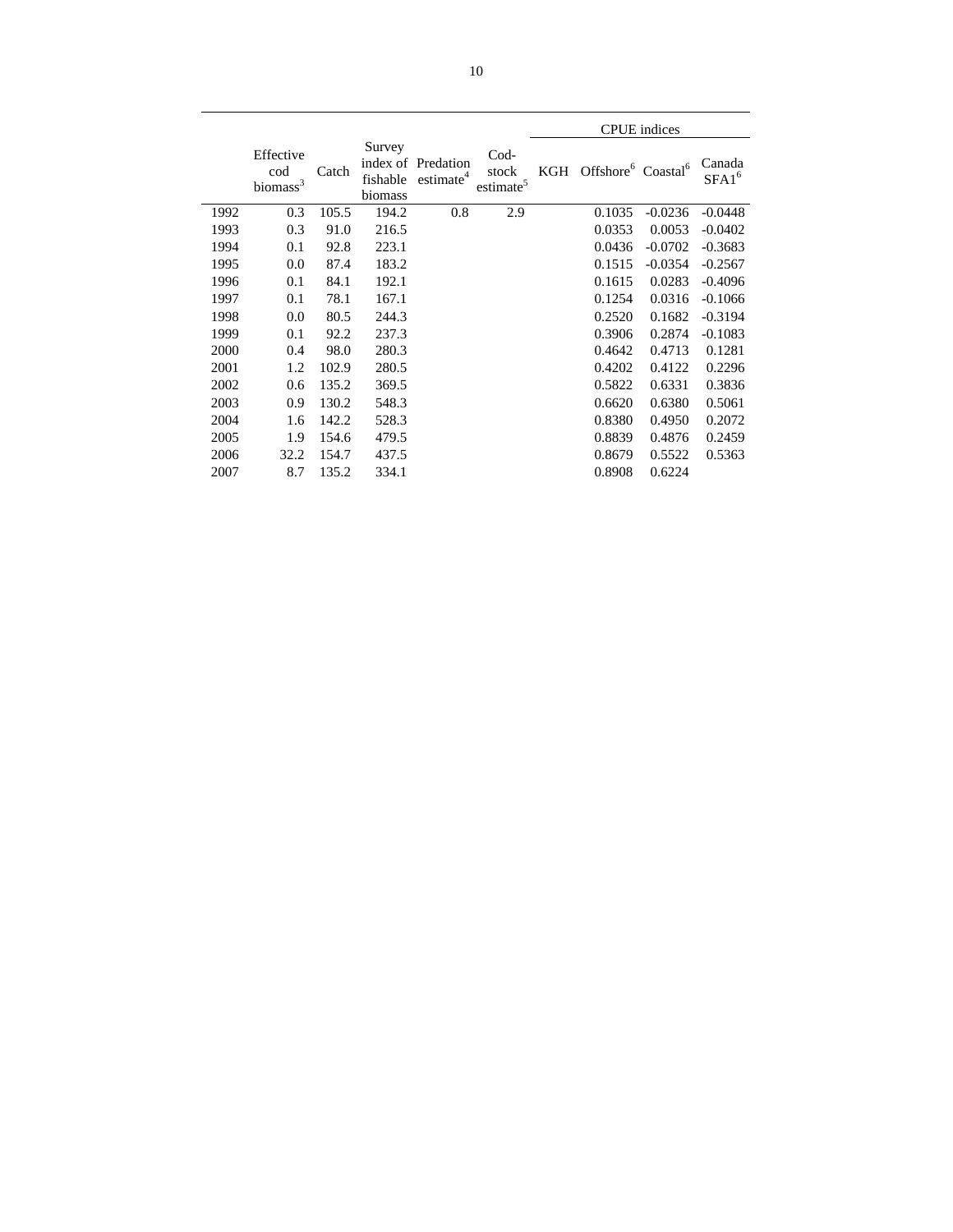|      |                                        |       |                               |                                             |                                   |     |                                            | <b>CPUE</b> indices |                    |
|------|----------------------------------------|-------|-------------------------------|---------------------------------------------|-----------------------------------|-----|--------------------------------------------|---------------------|--------------------|
|      | Effective<br>cod<br>$\mbox{biomass}^3$ | Catch | Survey<br>fishable<br>biomass | index of Predation<br>estimate <sup>4</sup> | Cod-<br>stock<br>$\rm estimate^5$ | KGH | Offshore <sup>6</sup> Coastal <sup>6</sup> |                     | Canada<br>$SFA1^6$ |
| 1992 | 0.3                                    | 105.5 | 194.2                         | 0.8                                         | 2.9                               |     | 0.1035                                     | $-0.0236$           | $-0.0448$          |
| 1993 | 0.3                                    | 91.0  | 216.5                         |                                             |                                   |     | 0.0353                                     | 0.0053              | $-0.0402$          |
| 1994 | 0.1                                    | 92.8  | 223.1                         |                                             |                                   |     | 0.0436                                     | $-0.0702$           | $-0.3683$          |
| 1995 | 0.0                                    | 87.4  | 183.2                         |                                             |                                   |     | 0.1515                                     | $-0.0354$           | $-0.2567$          |
| 1996 | 0.1                                    | 84.1  | 192.1                         |                                             |                                   |     | 0.1615                                     | 0.0283              | $-0.4096$          |
| 1997 | 0.1                                    | 78.1  | 167.1                         |                                             |                                   |     | 0.1254                                     | 0.0316              | $-0.1066$          |
| 1998 | 0.0                                    | 80.5  | 244.3                         |                                             |                                   |     | 0.2520                                     | 0.1682              | $-0.3194$          |
| 1999 | 0.1                                    | 92.2  | 237.3                         |                                             |                                   |     | 0.3906                                     | 0.2874              | $-0.1083$          |
| 2000 | 0.4                                    | 98.0  | 280.3                         |                                             |                                   |     | 0.4642                                     | 0.4713              | 0.1281             |
| 2001 | 1.2                                    | 102.9 | 280.5                         |                                             |                                   |     | 0.4202                                     | 0.4122              | 0.2296             |
| 2002 | 0.6                                    | 135.2 | 369.5                         |                                             |                                   |     | 0.5822                                     | 0.6331              | 0.3836             |
| 2003 | 0.9                                    | 130.2 | 548.3                         |                                             |                                   |     | 0.6620                                     | 0.6380              | 0.5061             |
| 2004 | 1.6                                    | 142.2 | 528.3                         |                                             |                                   |     | 0.8380                                     | 0.4950              | 0.2072             |
| 2005 | 1.9                                    | 154.6 | 479.5                         |                                             |                                   |     | 0.8839                                     | 0.4876              | 0.2459             |
| 2006 | 32.2                                   | 154.7 | 437.5                         |                                             |                                   |     | 0.8679                                     | 0.5522              | 0.5363             |
| 2007 | 8.7                                    | 135.2 | 334.1                         |                                             |                                   |     | 0.8908                                     | 0.6224              |                    |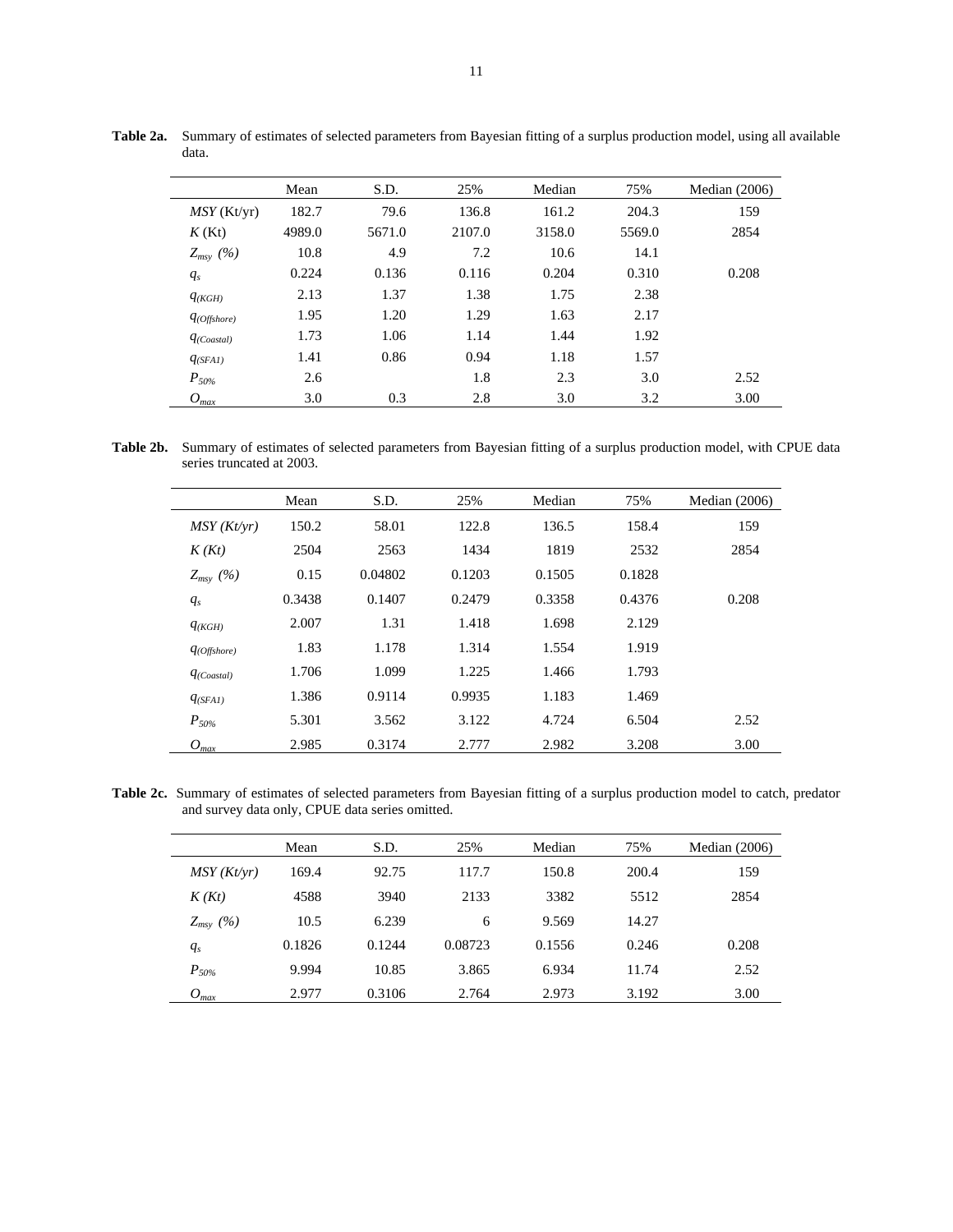|                  | Mean   | S.D.   | 25%    | Median | 75%    | Median $(2006)$ |
|------------------|--------|--------|--------|--------|--------|-----------------|
| $MSY$ (Kt/yr)    | 182.7  | 79.6   | 136.8  | 161.2  | 204.3  | 159             |
| $K$ (Kt)         | 4989.0 | 5671.0 | 2107.0 | 3158.0 | 5569.0 | 2854            |
| $Z_{msy}$ (%)    | 10.8   | 4.9    | 7.2    | 10.6   | 14.1   |                 |
| $q_s$            | 0.224  | 0.136  | 0.116  | 0.204  | 0.310  | 0.208           |
| $q_{(KGH)}$      | 2.13   | 1.37   | 1.38   | 1.75   | 2.38   |                 |
| $q_{(Offshore)}$ | 1.95   | 1.20   | 1.29   | 1.63   | 2.17   |                 |
| $q_{(Coastal)}$  | 1.73   | 1.06   | 1.14   | 1.44   | 1.92   |                 |
| $q_{(SFAI)}$     | 1.41   | 0.86   | 0.94   | 1.18   | 1.57   |                 |
| $P_{50\%}$       | 2.6    |        | 1.8    | 2.3    | 3.0    | 2.52            |
| $O_{max}$        | 3.0    | 0.3    | 2.8    | 3.0    | 3.2    | 3.00            |

**Table 2a.** Summary of estimates of selected parameters from Bayesian fitting of a surplus production model, using all available data.

**Table 2b.** Summary of estimates of selected parameters from Bayesian fitting of a surplus production model, with CPUE data series truncated at 2003.

|                    | Mean   | S.D.    | 25%    | Median | 75%    | Median $(2006)$ |
|--------------------|--------|---------|--------|--------|--------|-----------------|
| $MSY(Kt/\gamma r)$ | 150.2  | 58.01   | 122.8  | 136.5  | 158.4  | 159             |
| K(Kt)              | 2504   | 2563    | 1434   | 1819   | 2532   | 2854            |
| $Z_{msy}$ (%)      | 0.15   | 0.04802 | 0.1203 | 0.1505 | 0.1828 |                 |
| $q_s$              | 0.3438 | 0.1407  | 0.2479 | 0.3358 | 0.4376 | 0.208           |
| $q_{(KGH)}$        | 2.007  | 1.31    | 1.418  | 1.698  | 2.129  |                 |
| $q_{(Offshore)}$   | 1.83   | 1.178   | 1.314  | 1.554  | 1.919  |                 |
| $q_{(Coastal)}$    | 1.706  | 1.099   | 1.225  | 1.466  | 1.793  |                 |
| $q_{(SFAI)}$       | 1.386  | 0.9114  | 0.9935 | 1.183  | 1.469  |                 |
| $P_{50\%}$         | 5.301  | 3.562   | 3.122  | 4.724  | 6.504  | 2.52            |
| $O_{max}$          | 2.985  | 0.3174  | 2.777  | 2.982  | 3.208  | 3.00            |

**Table 2c.** Summary of estimates of selected parameters from Bayesian fitting of a surplus production model to catch, predator and survey data only, CPUE data series omitted.

|               | Mean   | S.D.   | 25%     | Median | 75%   | Median $(2006)$ |
|---------------|--------|--------|---------|--------|-------|-----------------|
| MSY(Kt/yr)    | 169.4  | 92.75  | 117.7   | 150.8  | 200.4 | 159             |
| K(Kt)         | 4588   | 3940   | 2133    | 3382   | 5512  | 2854            |
| $Z_{msy}$ (%) | 10.5   | 6.239  | 6       | 9.569  | 14.27 |                 |
| $q_s$         | 0.1826 | 0.1244 | 0.08723 | 0.1556 | 0.246 | 0.208           |
| $P_{50\%}$    | 9.994  | 10.85  | 3.865   | 6.934  | 11.74 | 2.52            |
| $O_{max}$     | 2.977  | 0.3106 | 2.764   | 2.973  | 3.192 | 3.00            |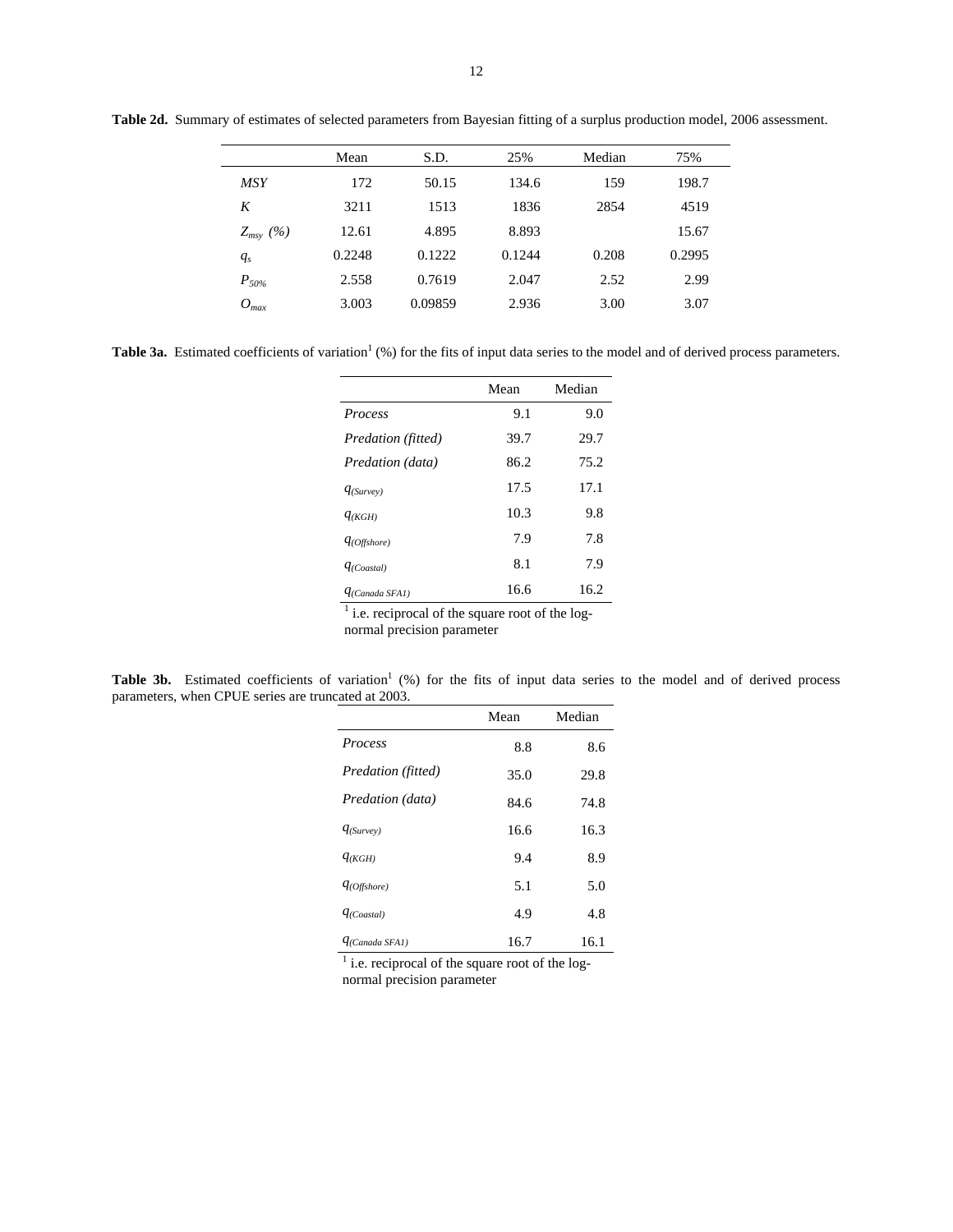|               | Mean   | S.D.    | 25%    | Median | 75%    |
|---------------|--------|---------|--------|--------|--------|
| MSY           | 172    | 50.15   | 134.6  | 159    | 198.7  |
| K             | 3211   | 1513    | 1836   | 2854   | 4519   |
| $Z_{msy}$ (%) | 12.61  | 4.895   | 8.893  |        | 15.67  |
| $q_s$         | 0.2248 | 0.1222  | 0.1244 | 0.208  | 0.2995 |
| $P_{50\%}$    | 2.558  | 0.7619  | 2.047  | 2.52   | 2.99   |
| $O_{max}$     | 3.003  | 0.09859 | 2.936  | 3.00   | 3.07   |
|               |        |         |        |        |        |

**Table 2d.** Summary of estimates of selected parameters from Bayesian fitting of a surplus production model, 2006 assessment.

**Table 3a.** Estimated coefficients of variation<sup>1</sup> (%) for the fits of input data series to the model and of derived process parameters.

|                     | Mean | Median |
|---------------------|------|--------|
| <b>Process</b>      | 9.1  | 9.0    |
| Predation (fitted)  | 39.7 | 29.7   |
| Predation (data)    | 86.2 | 75.2   |
| $q_{(Surve)}$       | 17.5 | 17.1   |
| $q_{(KGH)}$         | 10.3 | 9.8    |
| $q_{(Offshore)}$    | 7.9  | 7.8    |
| $q_{(Coastal)}$     | 8.1  | 7.9    |
| $q_{(Canada SFA1)}$ | 16.6 | 16.2   |

 $<sup>1</sup>$  i.e. reciprocal of the square root of the log-</sup>

normal precision parameter

Table 3b. Estimated coefficients of variation<sup>1</sup> (%) for the fits of input data series to the model and of derived process parameters, when CPUE series are truncated at 2003.

|                     | Mean | Median |
|---------------------|------|--------|
| Process             | 8.8  | 8.6    |
| Predation (fitted)  | 35.0 | 29.8   |
| Predation (data)    | 84.6 | 74.8   |
| $q_{(Surve)}$       | 16.6 | 16.3   |
| $q_{(KGH)}$         | 9.4  | 8.9    |
| $q_{(Offshore)}$    | 5.1  | 5.0    |
| $q_{(Coastal)}$     | 4.9  | 4.8    |
| $q_{(Canada SFAI)}$ | 16.7 | 16.1   |

 $<sup>1</sup>$  i.e. reciprocal of the square root of the log-</sup> normal precision parameter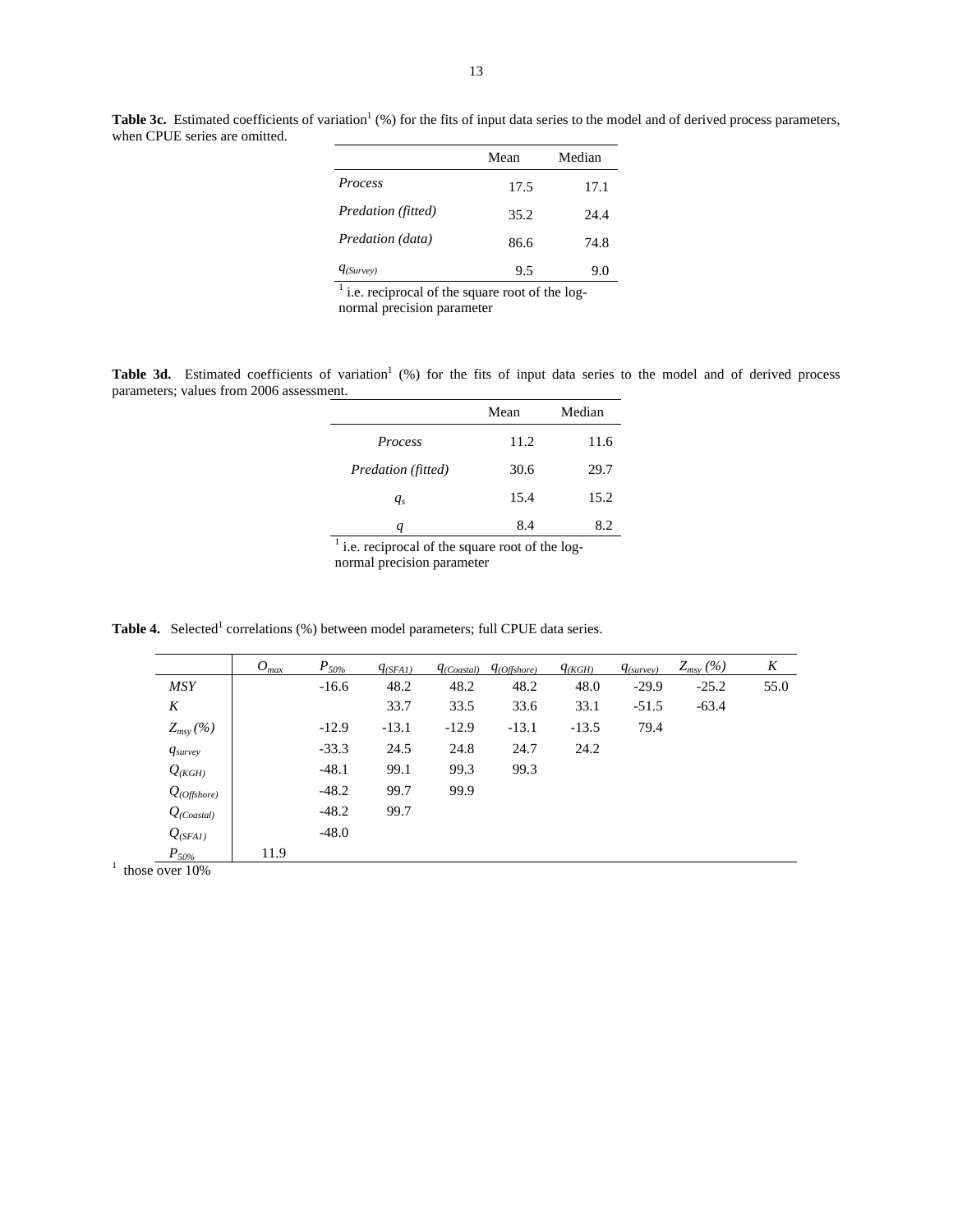| Mean | Median |
|------|--------|
| 17.5 | 17.1   |
| 35.2 | 24.4   |
| 86.6 | 74.8   |
| 9.5  | 9.0    |
|      |        |

<sup>1</sup> i.e. reciprocal of the square root of the log-

normal precision parameter

Table 3d. Estimated coefficients of variation<sup>1</sup> (%) for the fits of input data series to the model and of derived process parameters; values from 2006 assessment.

|                               | Mean                 | Median       |
|-------------------------------|----------------------|--------------|
| Process                       | 11.2                 | 11.6         |
| Predation (fitted)            | 30.6                 | 29.7         |
| $q_s$                         | 15.4                 | 15.2         |
| q                             | 8.4                  | 8.2          |
| ٠<br>٠<br>$1 \quad c \quad 1$ | $\sim$ $\sim$ $\sim$ | $\mathbf{I}$ |

 $<sup>1</sup>$  i.e. reciprocal of the square root of the log-</sup> normal precision parameter

**Table 4.** Selected<sup>1</sup> correlations (%) between model parameters; full CPUE data series.

|                     | $O_{max}$ | $P_{50\%}$ | $q_{(SFAI)}$ | $q_{(Coastal)}$ | $q_{(Offshore)}$ | $q_{(KGH)}$ | $q_{\text{(survev)}}$ | $Z_{msy}$ (%) | K    |
|---------------------|-----------|------------|--------------|-----------------|------------------|-------------|-----------------------|---------------|------|
| <b>MSY</b>          |           | $-16.6$    | 48.2         | 48.2            | 48.2             | 48.0        | $-29.9$               | $-25.2$       | 55.0 |
| K                   |           |            | 33.7         | 33.5            | 33.6             | 33.1        | $-51.5$               | $-63.4$       |      |
| $Z_{msy}$ (%)       |           | $-12.9$    | $-13.1$      | $-12.9$         | $-13.1$          | $-13.5$     | 79.4                  |               |      |
| $q_{\text{survey}}$ |           | $-33.3$    | 24.5         | 24.8            | 24.7             | 24.2        |                       |               |      |
| $Q_{(KGH)}$         |           | $-48.1$    | 99.1         | 99.3            | 99.3             |             |                       |               |      |
| $Q_{(Offshore)}$    |           | $-48.2$    | 99.7         | 99.9            |                  |             |                       |               |      |
| $Q_{(Coastal)}$     |           | $-48.2$    | 99.7         |                 |                  |             |                       |               |      |
| $Q_{(SFAI)}$        |           | $-48.0$    |              |                 |                  |             |                       |               |      |
| $P_{50\%}$          | 11.9      |            |              |                 |                  |             |                       |               |      |
| those over 10%      |           |            |              |                 |                  |             |                       |               |      |

when CPUE series are omitted.

**Table 3c.** Estimated coefficients of variation<sup>1</sup> (%) for the fits of input data series to the model and of derived process parameters,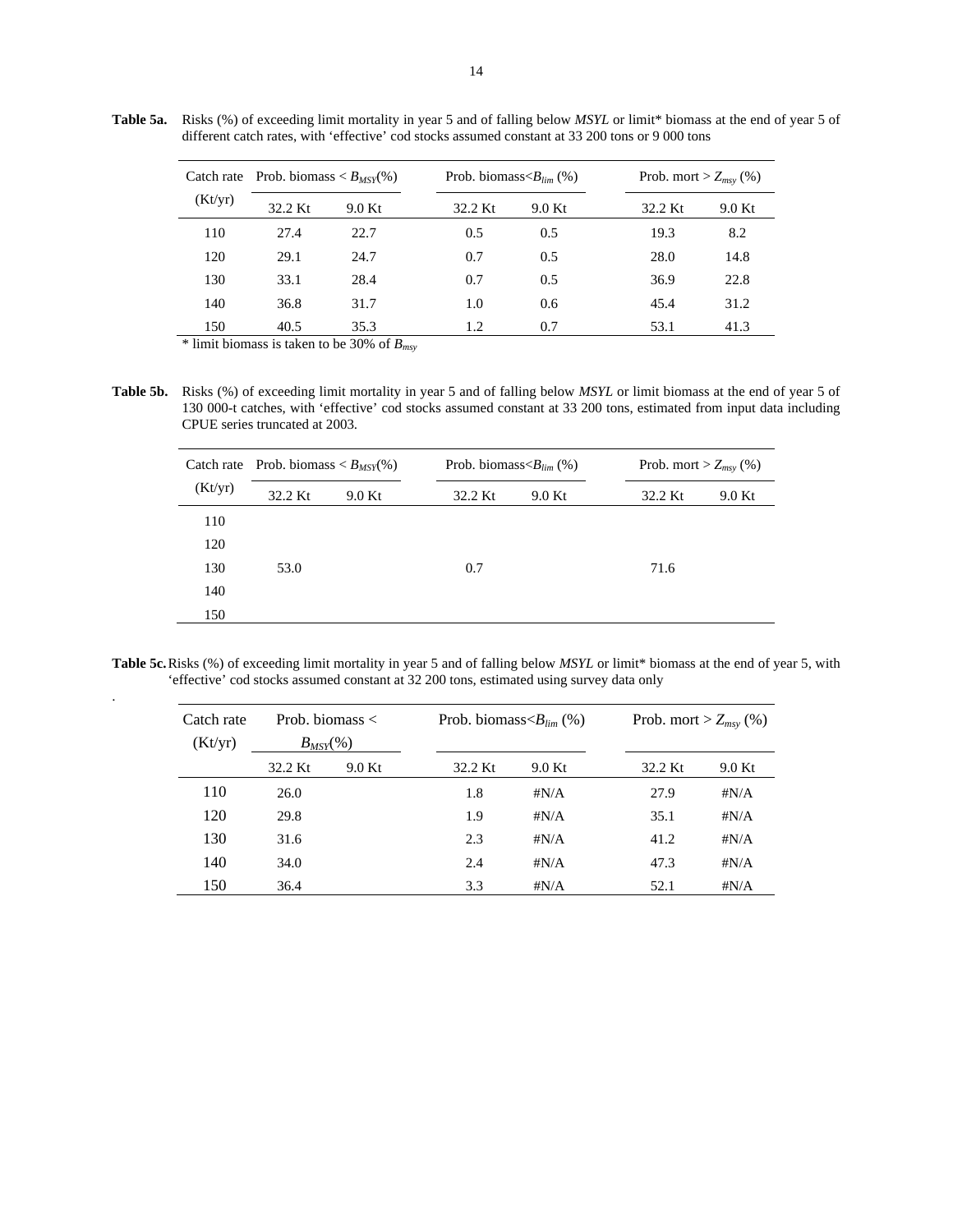|         |         | Catch rate Prob. biomass $\langle B_{MSY}(\%)$ |         | Prob. biomass $\langle B_{lim} (\% )$ |         | Prob. mort $> Z_{msy}$ (%) |      |  |
|---------|---------|------------------------------------------------|---------|---------------------------------------|---------|----------------------------|------|--|
| (Kt/yr) | 32.2 Kt | 9.0 Kt                                         | 32.2 Kt | 9.0 Kt                                | 32.2 Kt | 9.0 Kt                     |      |  |
|         | 110     | 27.4                                           | 22.7    | 0.5                                   | 0.5     | 19.3                       | 8.2  |  |
|         | 120     | 29.1                                           | 24.7    | 0.7                                   | 0.5     | 28.0                       | 14.8 |  |
|         | 130     | 33.1                                           | 28.4    | 0.7                                   | 0.5     | 36.9                       | 22.8 |  |
|         | 140     | 36.8                                           | 31.7    | 1.0                                   | 0.6     | 45.4                       | 31.2 |  |
|         | 150     | 40.5                                           | 35.3    | 1.2                                   | 0.7     | 53.1                       | 41.3 |  |

**Table 5a.** Risks (%) of exceeding limit mortality in year 5 and of falling below *MSYL* or limit\* biomass at the end of year 5 of different catch rates, with 'effective' cod stocks assumed constant at 33 200 tons or 9 000 tons

\* limit biomass is taken to be 30% of *Bmsy*

.

**Table 5b.** Risks (%) of exceeding limit mortality in year 5 and of falling below *MSYL* or limit biomass at the end of year 5 of 130 000-t catches, with 'effective' cod stocks assumed constant at 33 200 tons, estimated from input data including CPUE series truncated at 2003.

| (Kt/yr) | Catch rate Prob. biomass $\langle B_{MSY}(\%)$ |        | Prob. biomass $\langle B_{lim} (\% )$ |        | Prob. mort > $Z_{msy}$ (%) |        |  |
|---------|------------------------------------------------|--------|---------------------------------------|--------|----------------------------|--------|--|
|         | 32.2 Kt                                        | 9.0 Kt | 32.2 Kt                               | 9.0 Kt | 32.2 Kt                    | 9.0 Kt |  |
| 110     |                                                |        |                                       |        |                            |        |  |
| 120     |                                                |        |                                       |        |                            |        |  |
| 130     | 53.0                                           |        | 0.7                                   |        | 71.6                       |        |  |
| 140     |                                                |        |                                       |        |                            |        |  |
| 150     |                                                |        |                                       |        |                            |        |  |

Table 5c. Risks (%) of exceeding limit mortality in year 5 and of falling below *MSYL* or limit\* biomass at the end of year 5, with 'effective' cod stocks assumed constant at 32 200 tons, estimated using survey data only

| Catch rate<br>(Kt/yr) | Prob. biomass $\lt$<br>$B_{MSY}$ (%) |        |         | Prob. biomass $\langle B_{lim} (\% )$ |         | Prob. mort > $Z_{msv}$ (%) |  |
|-----------------------|--------------------------------------|--------|---------|---------------------------------------|---------|----------------------------|--|
|                       | 32.2 Kt                              | 9.0 Kt | 32.2 Kt | 9.0 Kt                                | 32.2 Kt | 9.0 Kt                     |  |
| 110                   | 26.0                                 |        | 1.8     | # $N/A$                               | 27.9    | # $N/A$                    |  |
| 120                   | 29.8                                 |        | 1.9     | $\sharp N/A$                          | 35.1    | # $N/A$                    |  |
| 130                   | 31.6                                 |        | 2.3     | $\sharp N/A$                          | 41.2    | # $N/A$                    |  |
| 140                   | 34.0                                 |        | 2.4     | $\sharp N/A$                          | 47.3    | $\sharp N/A$               |  |
| 150                   | 36.4                                 |        | 3.3     | $\sharp N/A$                          | 52.1    | $\sharp N/A$               |  |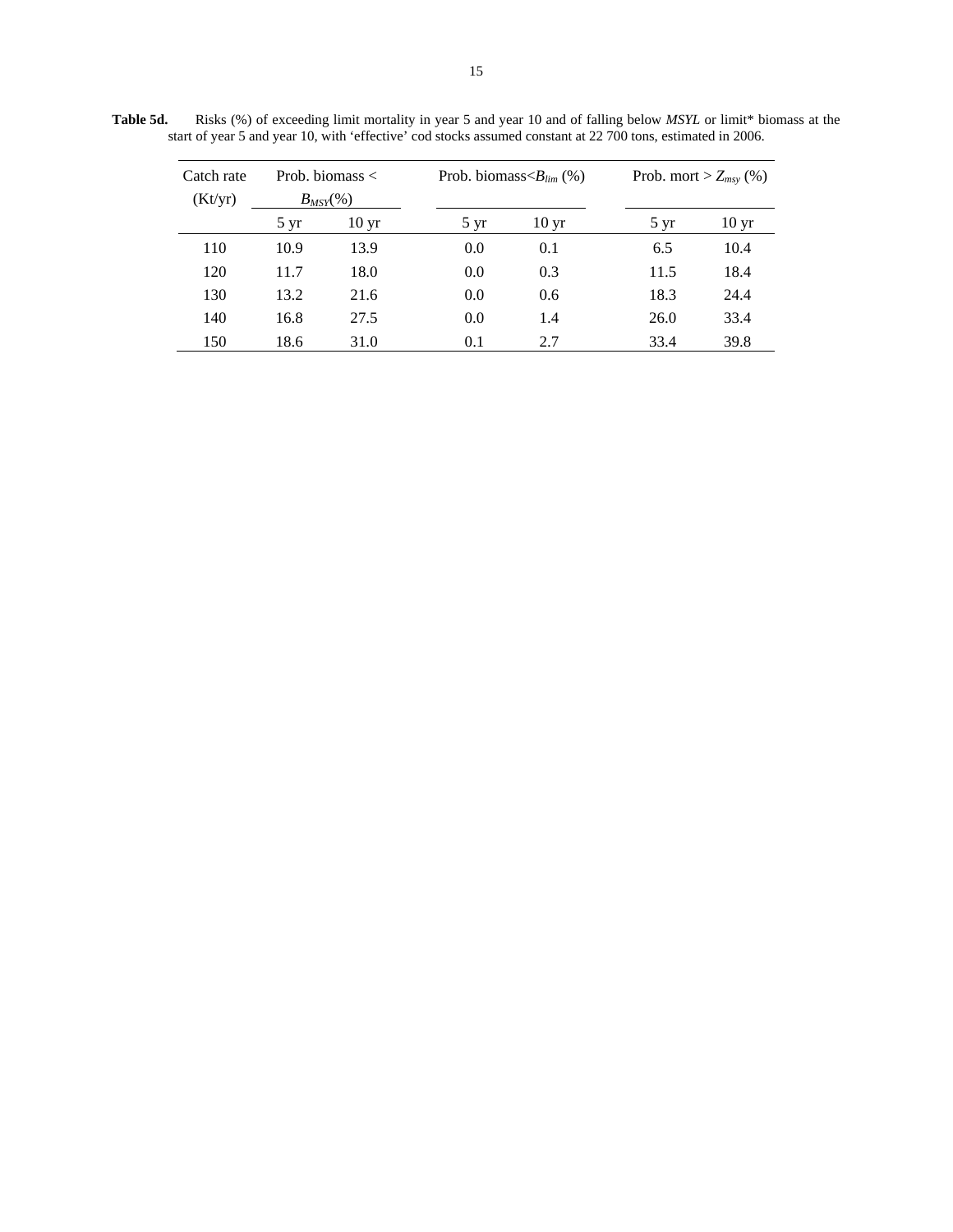| Catch rate<br>(Kt/yr) | Prob. biomass $\lt$<br>$B_{MSY}$ (%) |                  |                | Prob. biomass $\langle B_{lim} (\% )$ | Prob. mort > $Z_{msy}$ (%) |                  |  |
|-----------------------|--------------------------------------|------------------|----------------|---------------------------------------|----------------------------|------------------|--|
|                       | $5 \mathrm{yr}$                      | 10 <sub>yr</sub> | $5 \text{ yr}$ | $10 \,\mathrm{yr}$                    | $5 \text{ yr}$             | 10 <sub>yr</sub> |  |
| 110                   | 10.9                                 | 13.9             | 0.0            | 0.1                                   | 6.5                        | 10.4             |  |
| 120                   | 11.7                                 | 18.0             | 0.0            | 0.3                                   | 11.5                       | 18.4             |  |
| 130                   | 13.2                                 | 21.6             | 0.0            | 0.6                                   | 18.3                       | 24.4             |  |
| 140                   | 16.8                                 | 27.5             | 0.0            | 1.4                                   | 26.0                       | 33.4             |  |
| 150                   | 18.6                                 | 31.0             | 0.1            | 2.7                                   | 33.4                       | 39.8             |  |

**Table 5d.** Risks (%) of exceeding limit mortality in year 5 and year 10 and of falling below *MSYL* or limit\* biomass at the start of year 5 and year 10, with 'effective' cod stocks assumed constant at 22 700 tons, estimated in 2006.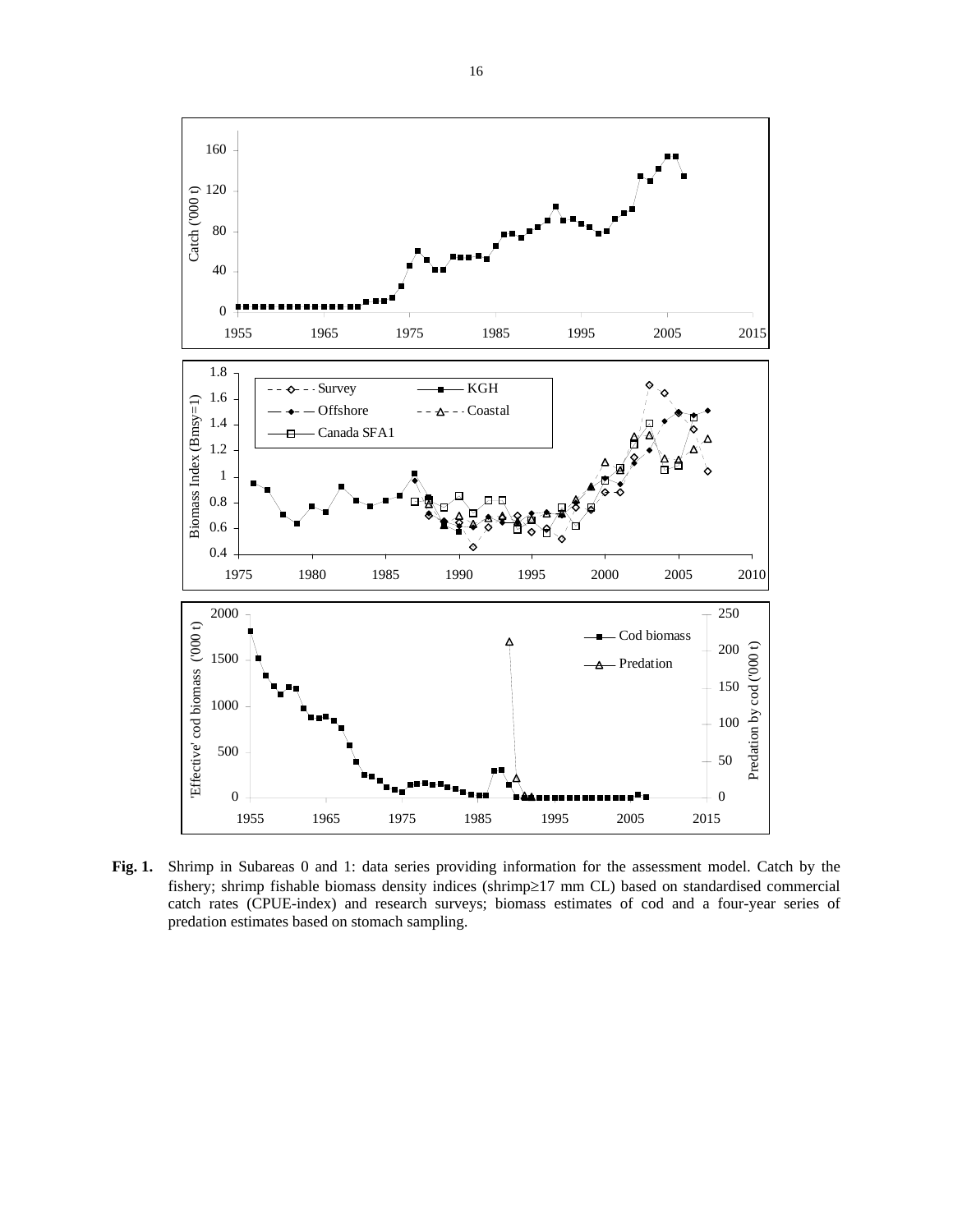

**Fig. 1.** Shrimp in Subareas 0 and 1: data series providing information for the assessment model. Catch by the fishery; shrimp fishable biomass density indices (shrimp≥17 mm CL) based on standardised commercial catch rates (CPUE-index) and research surveys; biomass estimates of cod and a four-year series of predation estimates based on stomach sampling.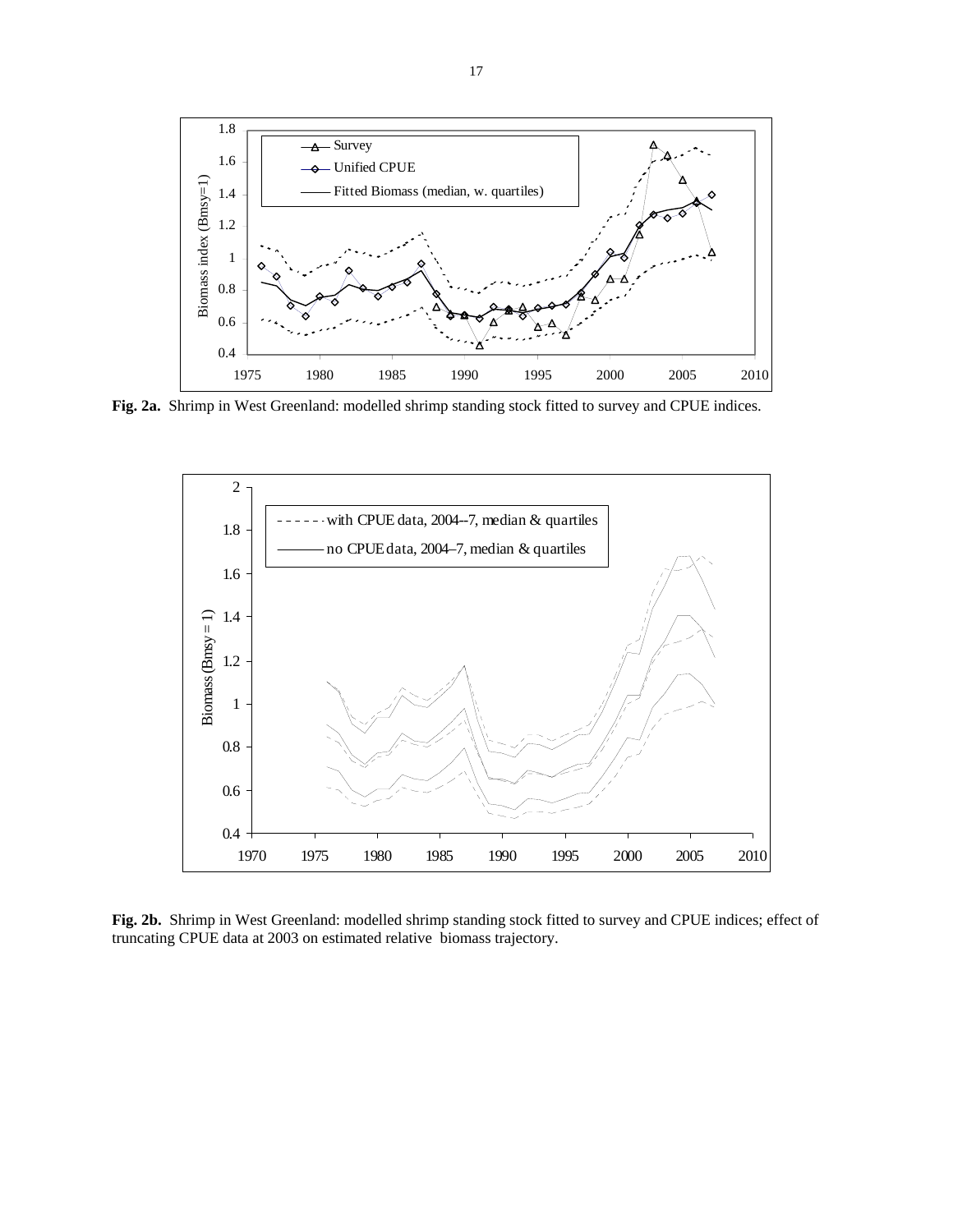

**Fig. 2a.** Shrimp in West Greenland: modelled shrimp standing stock fitted to survey and CPUE indices.



**Fig. 2b.** Shrimp in West Greenland: modelled shrimp standing stock fitted to survey and CPUE indices; effect of truncating CPUE data at 2003 on estimated relative biomass trajectory.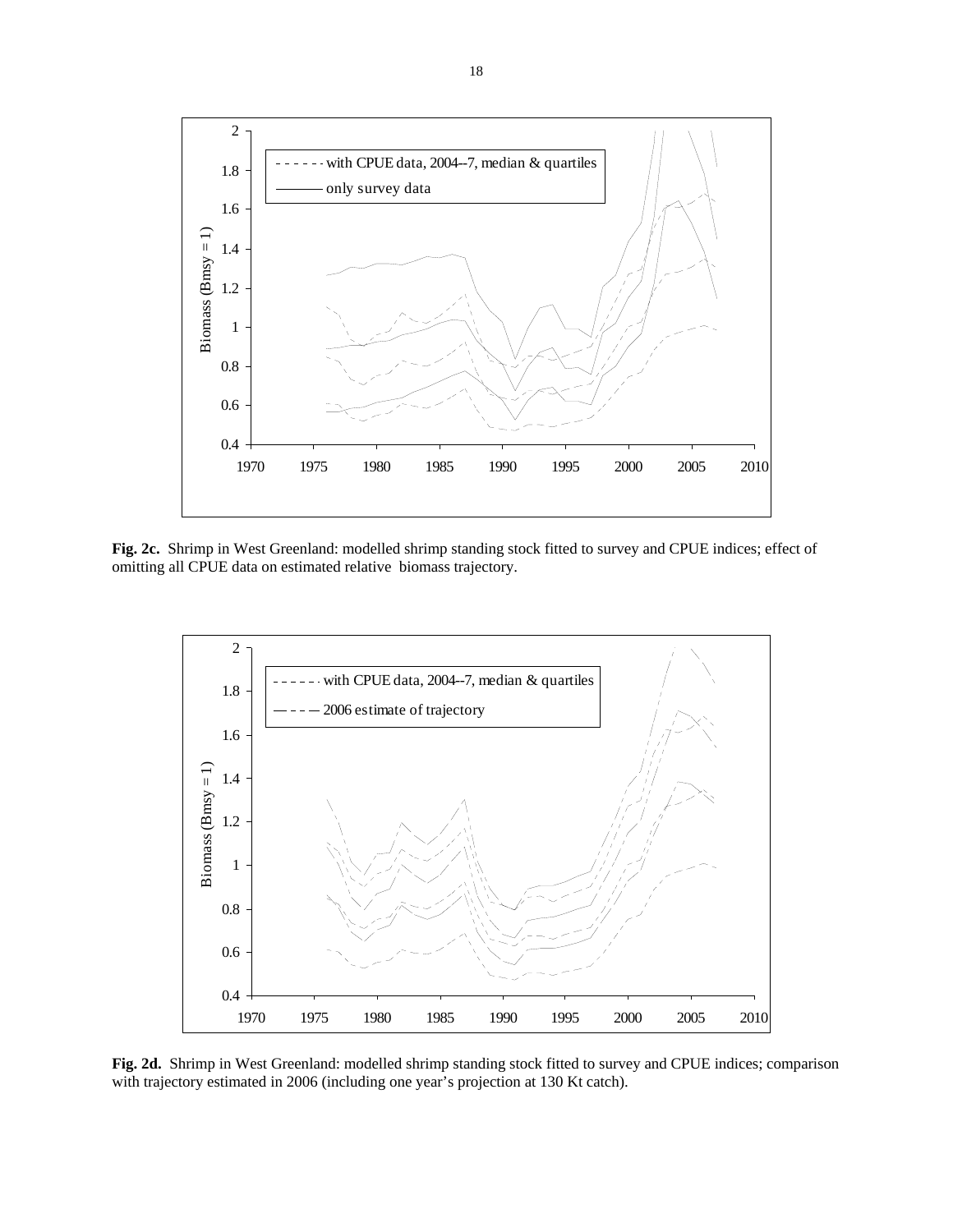

**Fig. 2c.** Shrimp in West Greenland: modelled shrimp standing stock fitted to survey and CPUE indices; effect of omitting all CPUE data on estimated relative biomass trajectory.



**Fig. 2d.** Shrimp in West Greenland: modelled shrimp standing stock fitted to survey and CPUE indices; comparison with trajectory estimated in 2006 (including one year's projection at 130 Kt catch).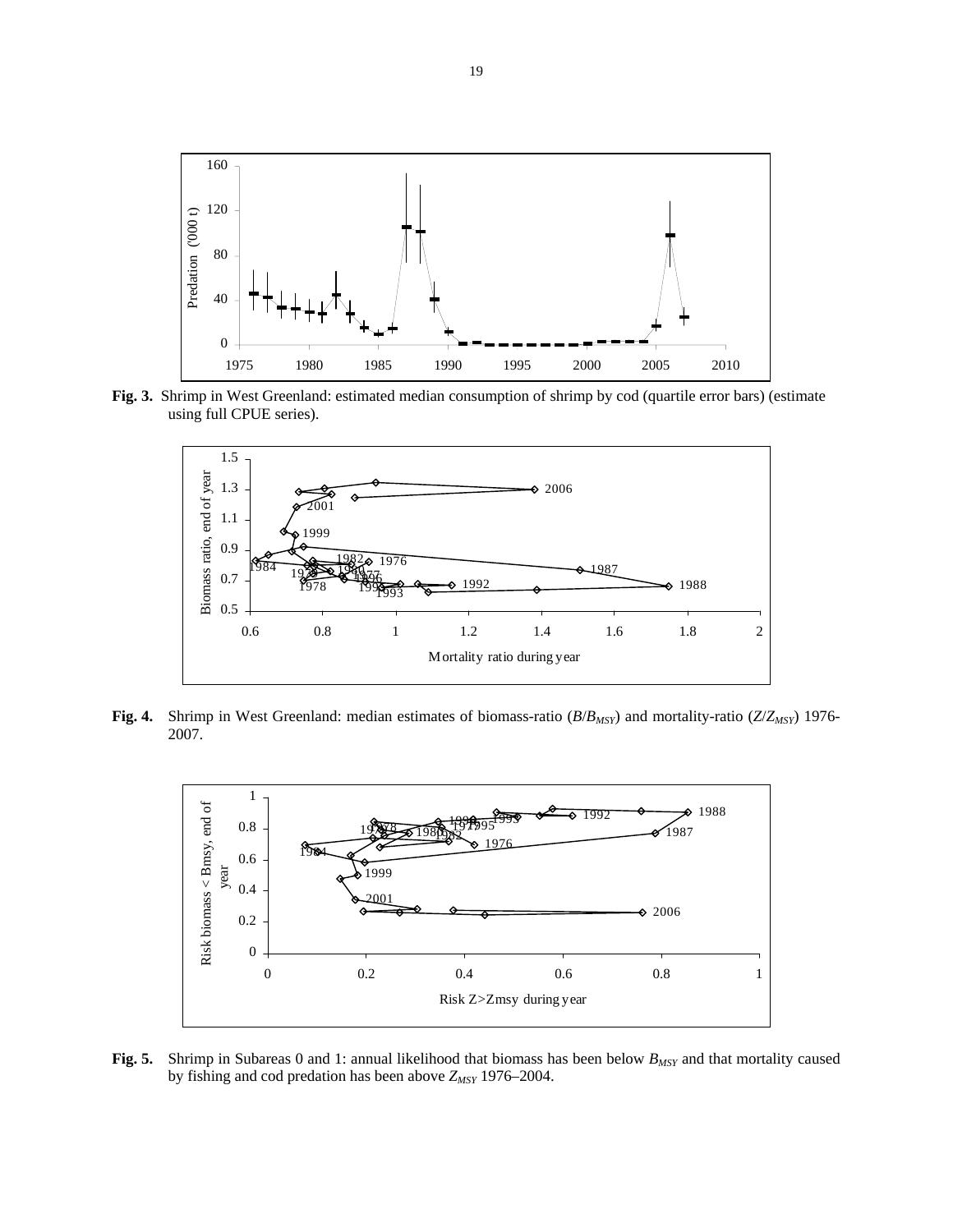

**Fig. 3.** Shrimp in West Greenland: estimated median consumption of shrimp by cod (quartile error bars) (estimate using full CPUE series).



**Fig. 4.** Shrimp in West Greenland: median estimates of biomass-ratio (*B*/*BMSY*) and mortality-ratio (*Z*/*ZMSY*) 1976- 2007.



**Fig. 5.** Shrimp in Subareas 0 and 1: annual likelihood that biomass has been below  $B_{MSY}$  and that mortality caused by fishing and cod predation has been above  $Z_{MSY}$  1976–2004.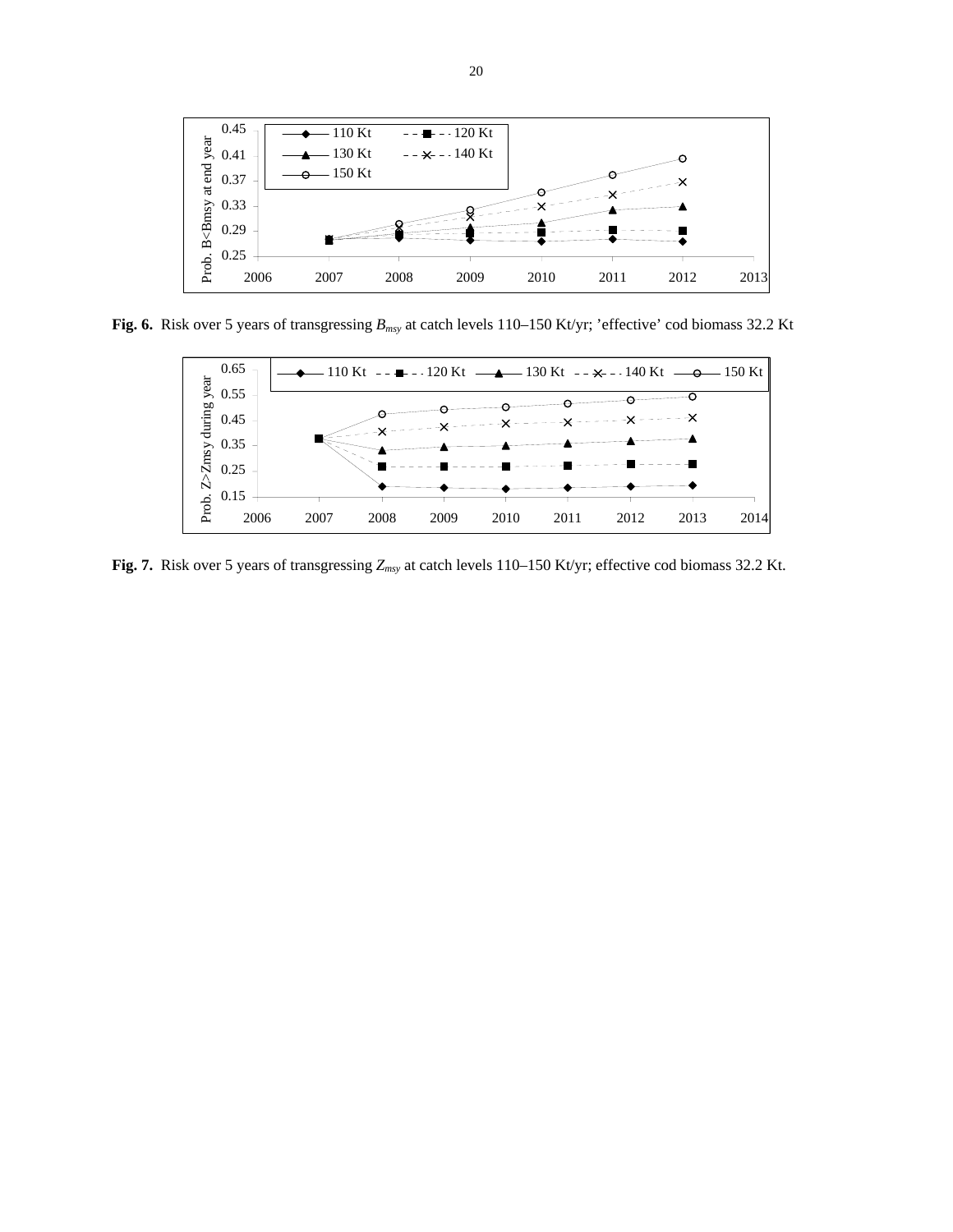

**Fig. 6.** Risk over 5 years of transgressing *Bmsy* at catch levels 110–150 Kt/yr; 'effective' cod biomass 32.2 Kt



**Fig. 7.** Risk over 5 years of transgressing *Zmsy* at catch levels 110–150 Kt/yr; effective cod biomass 32.2 Kt.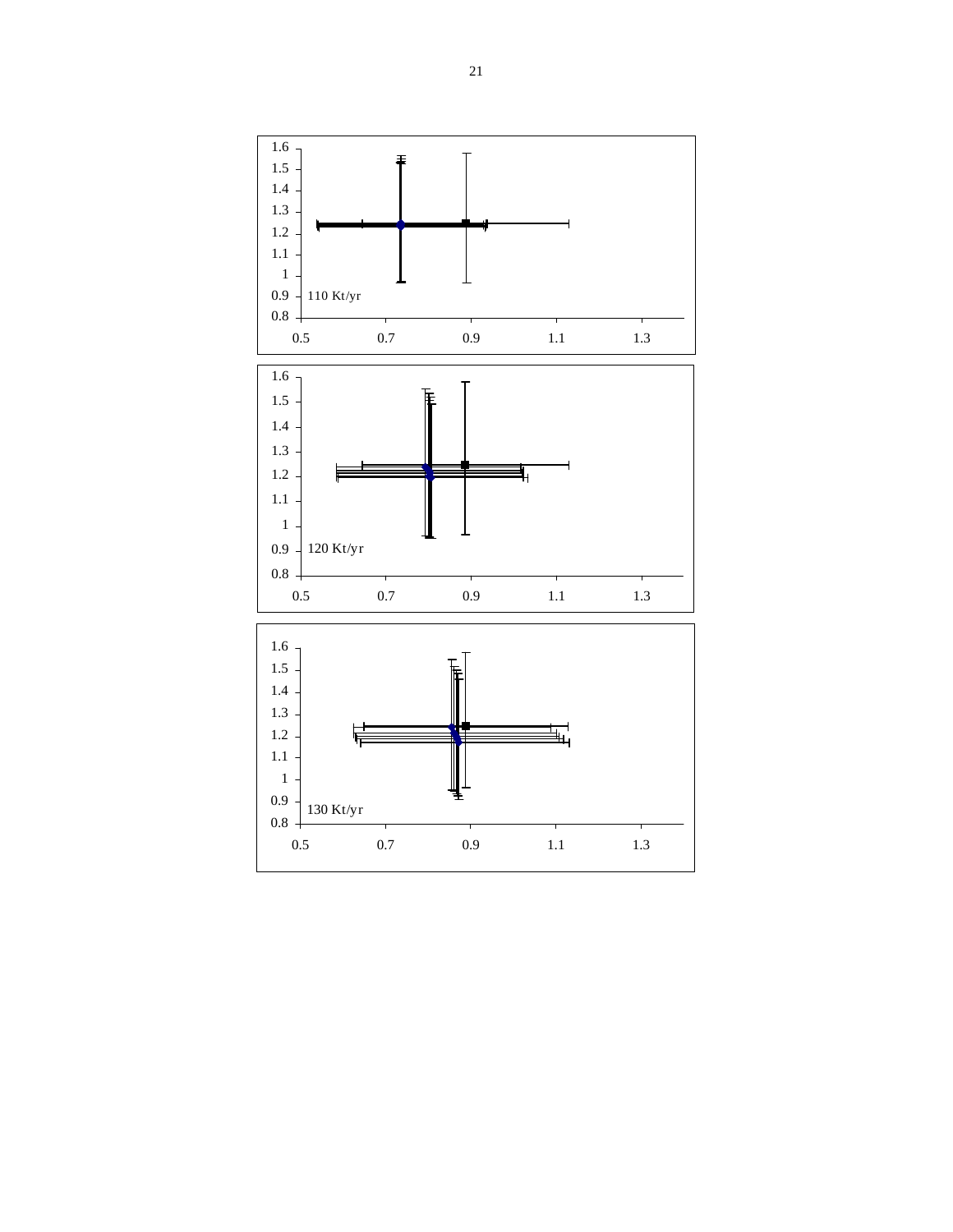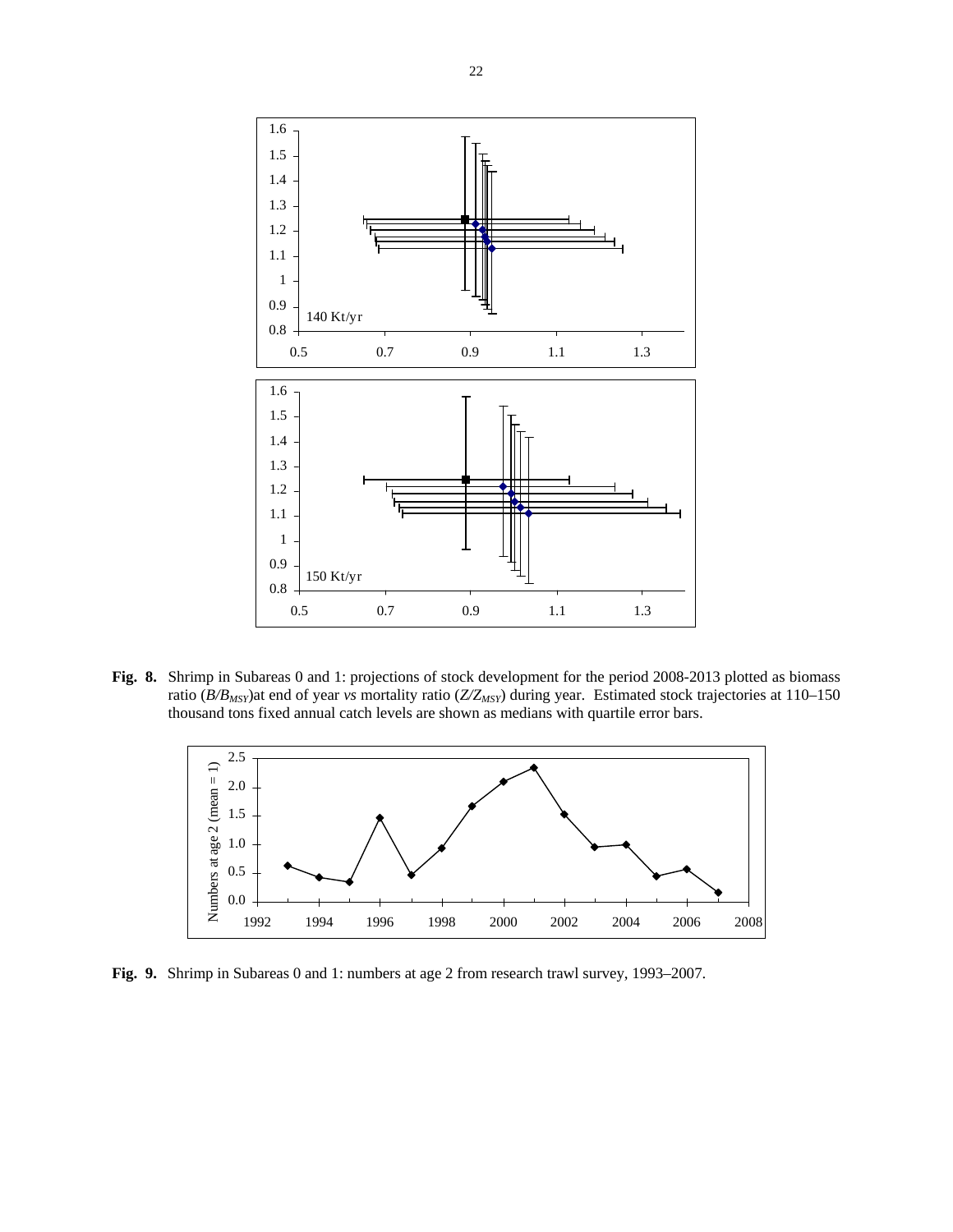

**Fig. 8.** Shrimp in Subareas 0 and 1: projections of stock development for the period 2008-2013 plotted as biomass ratio ( $B/B<sub>MSY</sub>$ )at end of year *vs* mortality ratio ( $Z/Z<sub>MSY</sub>$ ) during year. Estimated stock trajectories at 110–150 thousand tons fixed annual catch levels are shown as medians with quartile error bars.



**Fig. 9.** Shrimp in Subareas 0 and 1: numbers at age 2 from research trawl survey, 1993–2007.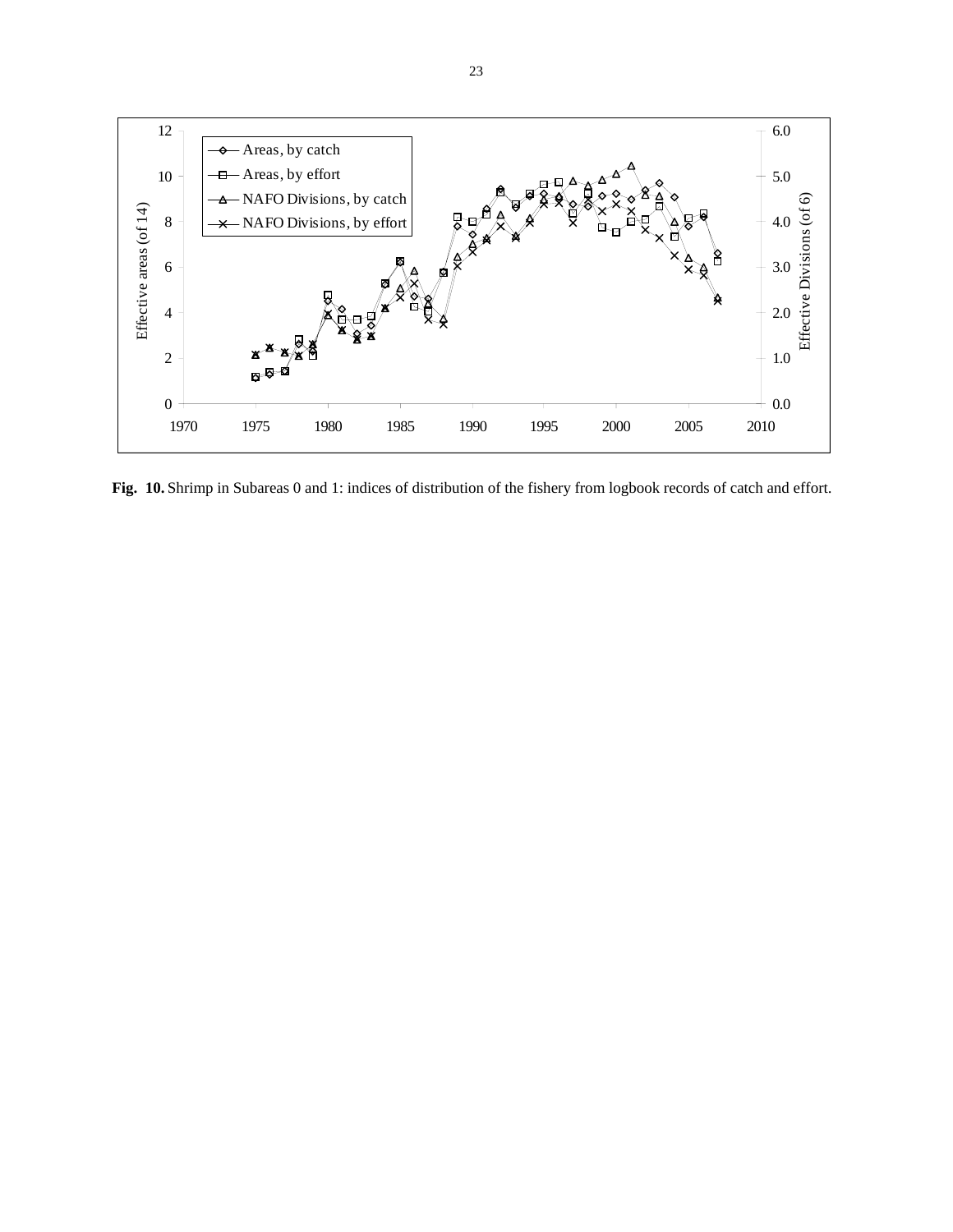

**Fig. 10.** Shrimp in Subareas 0 and 1: indices of distribution of the fishery from logbook records of catch and effort.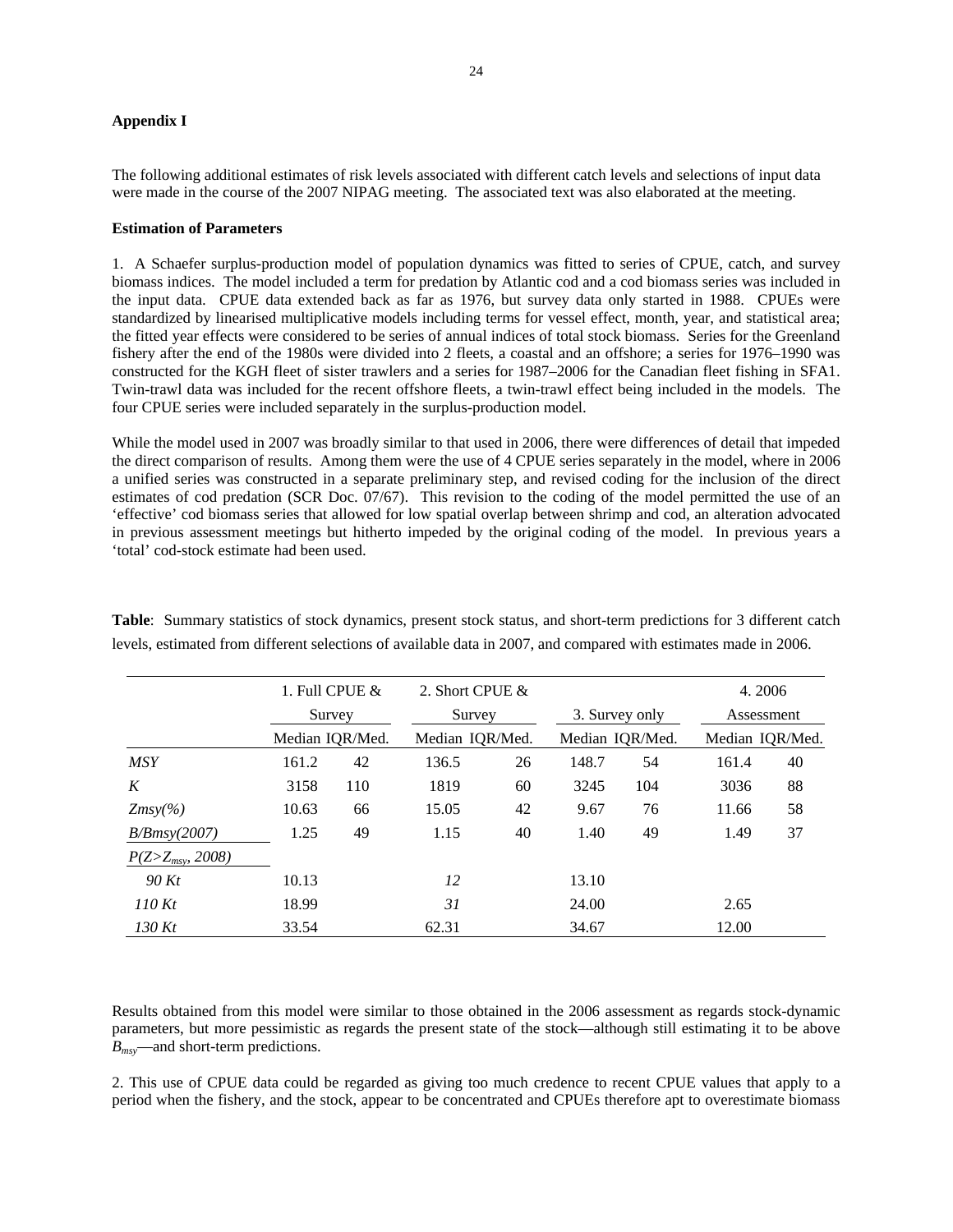## **Appendix I**

The following additional estimates of risk levels associated with different catch levels and selections of input data were made in the course of the 2007 NIPAG meeting. The associated text was also elaborated at the meeting.

### **Estimation of Parameters**

1. A Schaefer surplus-production model of population dynamics was fitted to series of CPUE, catch, and survey biomass indices. The model included a term for predation by Atlantic cod and a cod biomass series was included in the input data. CPUE data extended back as far as 1976, but survey data only started in 1988. CPUEs were standardized by linearised multiplicative models including terms for vessel effect, month, year, and statistical area; the fitted year effects were considered to be series of annual indices of total stock biomass. Series for the Greenland fishery after the end of the 1980s were divided into 2 fleets, a coastal and an offshore; a series for 1976–1990 was constructed for the KGH fleet of sister trawlers and a series for 1987–2006 for the Canadian fleet fishing in SFA1. Twin-trawl data was included for the recent offshore fleets, a twin-trawl effect being included in the models. The four CPUE series were included separately in the surplus-production model.

While the model used in 2007 was broadly similar to that used in 2006, there were differences of detail that impeded the direct comparison of results. Among them were the use of 4 CPUE series separately in the model, where in 2006 a unified series was constructed in a separate preliminary step, and revised coding for the inclusion of the direct estimates of cod predation (SCR Doc. 07/67). This revision to the coding of the model permitted the use of an 'effective' cod biomass series that allowed for low spatial overlap between shrimp and cod, an alteration advocated in previous assessment meetings but hitherto impeded by the original coding of the model. In previous years a 'total' cod-stock estimate had been used.

|                        |       | 1. Full CPUE $\&$<br>Survey<br>Median IQR/Med. |       | 2. Short CPUE &<br>Survey<br>Median IQR/Med. |       |                                   | 4.2006 |                               |  |
|------------------------|-------|------------------------------------------------|-------|----------------------------------------------|-------|-----------------------------------|--------|-------------------------------|--|
|                        |       |                                                |       |                                              |       | 3. Survey only<br>Median IQR/Med. |        | Assessment<br>Median IOR/Med. |  |
|                        |       |                                                |       |                                              |       |                                   |        |                               |  |
| <b>MSY</b>             | 161.2 | 42                                             | 136.5 | 26                                           | 148.7 | 54                                | 161.4  | 40                            |  |
| K                      | 3158  | 110                                            | 1819  | 60                                           | 3245  | 104                               | 3036   | 88                            |  |
| $Zmsy\%$               | 10.63 | 66                                             | 15.05 | 42                                           | 9.67  | 76                                | 11.66  | 58                            |  |
| B/Bmsy(2007)           | 1.25  | 49                                             | 1.15  | 40                                           | 1.40  | 49                                | 1.49   | 37                            |  |
| $P(Z > Z_{msy}, 2008)$ |       |                                                |       |                                              |       |                                   |        |                               |  |
| 90 Kt                  | 10.13 |                                                | 12    |                                              | 13.10 |                                   |        |                               |  |
| 110Kt                  | 18.99 |                                                | 31    |                                              | 24.00 |                                   | 2.65   |                               |  |
| 130 $Kt$               | 33.54 |                                                | 62.31 |                                              | 34.67 |                                   | 12.00  |                               |  |

**Table**: Summary statistics of stock dynamics, present stock status, and short-term predictions for 3 different catch levels, estimated from different selections of available data in 2007, and compared with estimates made in 2006.

Results obtained from this model were similar to those obtained in the 2006 assessment as regards stock-dynamic parameters, but more pessimistic as regards the present state of the stock—although still estimating it to be above *Bmsy*—and short-term predictions.

2. This use of CPUE data could be regarded as giving too much credence to recent CPUE values that apply to a period when the fishery, and the stock, appear to be concentrated and CPUEs therefore apt to overestimate biomass